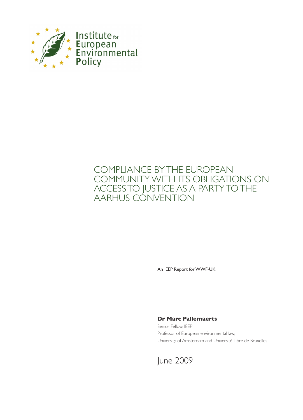

# COMPLIANCE BY THE EUROPEAN COMMUNITY WITH ITS OBLIGATIONS ON ACCESS TO JUSTICE AS A PARTY TO THE AARHUS CONVENTION

An IEEP Report for WWF-UK

## **Dr Marc Pallemaerts**

Senior Fellow, IEEP Professor of European environmental law, University of Amsterdam and Université Libre de Bruxelles

June 2009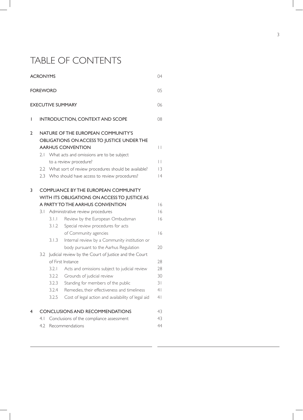# TABLE OF CONTENTS

|                                | <b>ACRONYMS</b><br>04 |                                                                                                                                                                                                                                                                                                                                                      |                                                                                                                                                                                                                                                                                                                                                                   |                                                          |  |  |  |
|--------------------------------|-----------------------|------------------------------------------------------------------------------------------------------------------------------------------------------------------------------------------------------------------------------------------------------------------------------------------------------------------------------------------------------|-------------------------------------------------------------------------------------------------------------------------------------------------------------------------------------------------------------------------------------------------------------------------------------------------------------------------------------------------------------------|----------------------------------------------------------|--|--|--|
| <b>FOREWORD</b><br>05          |                       |                                                                                                                                                                                                                                                                                                                                                      |                                                                                                                                                                                                                                                                                                                                                                   |                                                          |  |  |  |
| <b>EXECUTIVE SUMMARY</b><br>06 |                       |                                                                                                                                                                                                                                                                                                                                                      |                                                                                                                                                                                                                                                                                                                                                                   |                                                          |  |  |  |
| I                              |                       | INTRODUCTION, CONTEXT AND SCOPE<br>08                                                                                                                                                                                                                                                                                                                |                                                                                                                                                                                                                                                                                                                                                                   |                                                          |  |  |  |
| 2                              | 2.1                   | NATURE OF THE EUROPEAN COMMUNITY'S<br>OBLIGATIONS ON ACCESS TO JUSTICE UNDER THE<br><b>AARHUS CONVENTION</b><br>$\vert \ \vert$<br>What acts and omissions are to be subject<br>$\vert \ \vert$<br>to a review procedure?<br>2.2 What sort of review procedures should be available?<br> 3<br>2.3 Who should have access to review procedures?<br> 4 |                                                                                                                                                                                                                                                                                                                                                                   |                                                          |  |  |  |
| 3                              | 3. I                  | 3.1.1<br>3.1.2<br>3.1.3                                                                                                                                                                                                                                                                                                                              | <b>COMPLIANCE BY THE EUROPEAN COMMUNITY</b><br>WITH ITS OBLIGATIONS ON ACCESS TO JUSTICE AS<br>A PARTY TO THE AARHUS CONVENTION<br>Administrative review procedures<br>Review by the European Ombudsman<br>Special review procedures for acts<br>of Community agencies<br>Internal review by a Community institution or<br>body pursuant to the Aarhus Regulation | 16<br>16<br>16<br>16<br>20                               |  |  |  |
|                                | 3.2                   | 3.2.1<br>3.2.2<br>3.2.3<br>3.2.4<br>3.2.5                                                                                                                                                                                                                                                                                                            | Judicial review by the Court of Justice and the Court<br>of First Instance<br>Acts and omissions subject to judicial review<br>Grounds of judicial review<br>Standing for members of the public<br>Remedies, their effectiveness and timeliness<br>Cost of legal action and availability of legal aid                                                             | 28<br>28<br>30<br>31<br>4 <sub>1</sub><br>4 <sub>1</sub> |  |  |  |
| 4                              |                       |                                                                                                                                                                                                                                                                                                                                                      | <b>CONCLUSIONS AND RECOMMENDATIONS</b>                                                                                                                                                                                                                                                                                                                            | 43                                                       |  |  |  |
|                                | 4.1                   |                                                                                                                                                                                                                                                                                                                                                      | Conclusions of the compliance assessment                                                                                                                                                                                                                                                                                                                          | 43                                                       |  |  |  |
|                                | 4.2                   |                                                                                                                                                                                                                                                                                                                                                      | Recommendations                                                                                                                                                                                                                                                                                                                                                   | 44                                                       |  |  |  |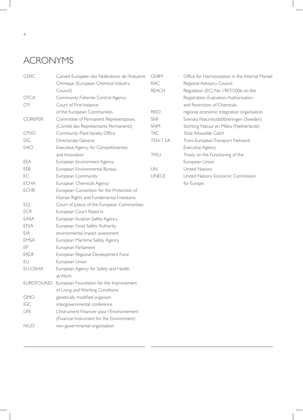# ACRONYMS

| <b>CEFIC</b>     | Conseil Européen des Fédérations de l'Industrie | OHIM         | Office for Harmonization in the Internal Market |
|------------------|-------------------------------------------------|--------------|-------------------------------------------------|
|                  | Chimique (European Chemical Industry            | <b>RAC</b>   | Regional Advisory Council                       |
|                  | Council)                                        | <b>REACH</b> | Regulation (EC) No 1907/2006 on the             |
| <b>CFCA</b>      | Community Fisheries Control Agency              |              | Registration, Evaluation, Authorisation         |
| <b>CFI</b>       | Court of First Instance                         |              | and Restriction of Chemicals                    |
|                  | of the European Communities                     | <b>REIO</b>  | regional economic integration organisation      |
| COREPER          | Committee of Permanent Representatives          | <b>SNF</b>   | Svenska Naturskyddsföreningen (Sweden)          |
|                  | (Comité des Représentants Permanents)           | <b>SNM</b>   | Stichting Natuur en Milieu (Netherlands)        |
| <b>CPVO</b>      | Community Plant Variety Office                  | <b>TAC</b>   | Total Allowable Catch                           |
| DG               | Directorate-General                             | TEN-T EA     | Trans-European Transport Network                |
| <b>EACI</b>      | Executive Agency for Competitiveness            |              | <b>Executive Agency</b>                         |
|                  | and Innovation                                  | TFEU         | Treaty on the Functioning of the                |
| EEA              | European Environment Agency                     |              | European Union                                  |
| EEB              | European Environmental Bureau                   | UN           | United Nations                                  |
| EC               | European Community                              | <b>UNECE</b> | United Nations Economic Commission              |
| <b>ECHA</b>      | European Chemicals Agency                       |              | for Europe                                      |
| <b>ECHR</b>      | European Convention for the Protection of       |              |                                                 |
|                  | Human Rights and Fundamental Freedoms           |              |                                                 |
| ECJ              | Court of Justice of the European Communities    |              |                                                 |
| <b>ECR</b>       | European Court Reports                          |              |                                                 |
| EASA             | European Aviation Safety Agency                 |              |                                                 |
| <b>EFSA</b>      | European Food Safety Authority                  |              |                                                 |
| EIA              | environmental impact assessment                 |              |                                                 |
| <b>EMSA</b>      | European Maritime Safety Agency                 |              |                                                 |
| EP               | European Parliament                             |              |                                                 |
| <b>ERDF</b>      | European Regional Development Fund              |              |                                                 |
| EU               | European Union                                  |              |                                                 |
| EU-OSHA          | European Agency for Safety and Health           |              |                                                 |
|                  | at Work                                         |              |                                                 |
| <b>EUROFOUND</b> | European Foundation for the Improvement         |              |                                                 |
|                  | of Living and Working Conditions                |              |                                                 |
| <b>GMO</b>       | genetically modified organism                   |              |                                                 |
| IGC              | intergovernmental conference                    |              |                                                 |
| <b>LIFE</b>      | L'Instrument Financier pour l'Environnement     |              |                                                 |
|                  | (Financial Instrument for the Environment)      |              |                                                 |
| <b>NGO</b>       | non-governmental organisation                   |              |                                                 |
|                  |                                                 |              |                                                 |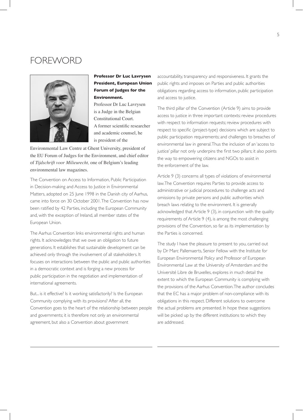# FOREWORD



## **Professor Dr Luc Lavrysen President, European Union Forum of Judges for the Environment.**

Professor Dr Luc Lavrysen is a Judge in the Belgian Constitutional Court. A former scientific researcher and academic counsel, he is president of the

Environmental Law Centre at Ghent University, president of the EU Forum of Judges for the Environment, and chief editor of *Tijdschrift voor Milieurecht,* one of Belgium's leading environmental law magazines.

The Convention on Access to Information, Public Participation in Decision-making and Access to Justice in Environmental Matters, adopted on 25 June 1998 in the Danish city of Aarhus, came into force on 30 October 2001. The Convention has now been ratified by 42 Parties, including the European Community and, with the exception of Ireland, all member states of the European Union.

The Aarhus Convention links environmental rights and human rights. It acknowledges that we owe an obligation to future generations. It establishes that sustainable development can be achieved only through the involvement of all stakeholders. It focuses on interactions between the public and public authorities in a democratic context and is forging a new process for public participation in the negotiation and implementation of international agreements.

But... is it effective? Is it working satisfactorily? Is the European Community complying with its provisions? After all, the Convention goes to the heart of the relationship between people and governments; it is therefore not only an environmental agreement, but also a Convention about government

accountability, transparency and responsiveness. It grants the public rights and imposes on Parties and public authorities obligations regarding access to information, public participation and access to justice.

The third pillar of the Convention (Article 9) aims to provide access to justice in three important contexts: review procedures with respect to information requests; review procedures with respect to specific (project-type) decisions which are subject to public participation requirements; and challenges to breaches of environmental law in general. Thus the inclusion of an 'access to justice' pillar not only underpins the first two pillars; it also points the way to empowering citizens and NGOs to assist in the enforcement of the law.

Article 9 (3) concerns all types of violations of environmental law. The Convention requires Parties to provide access to administrative or judicial procedures to challenge acts and omissions by private persons and public authorities which breach laws relating to the environment. It is generally acknowledged that Article 9 (3), in conjunction with the quality requirements of Article 9 (4), is among the most challenging provisions of the Convention, so far as its implementation by the Parties is concerned.

The study I have the pleasure to present to you, carried out by Dr Marc Pallemaerts, Senior Fellow with the Institute for European Environmental Policy and Professor of European Environmental Law at the University of Amsterdam and the Université Libre de Bruxelles, explores in much detail the extent to which the European Community is complying with the provisions of the Aarhus Convention. The author concludes that the EC has a major problem of non-compliance with its obligations in this respect. Different solutions to overcome the actual problems are presented. In hope these suggestions will be picked up by the different institutions to which they are addressed.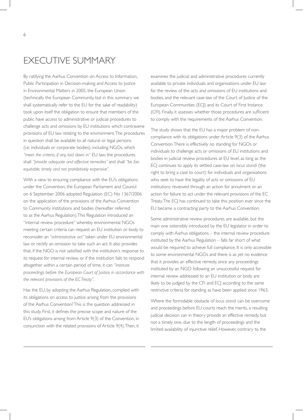By ratifying the Aarhus Convention on Access to Information, Public Participation in Decision-making and Access to Justice in Environmental Matters in 2005, the European Union (technically the European Community, but in this summary we shall systematically refer to the EU for the sake of readability) took upon itself the obligation to ensure that members of the public have access to administrative or judicial procedures to challenge acts and omissions by EU institutions which contravene provisions of EU law relating to the environment. The procedures in question shall be available to all natural or legal persons (i.e. individuals or corporate bodies), including NGOs, which *"meet the criteria, if any, laid down in"* EU law; the procedures shall *"provide adequate and effective remedies"* and shall *"be fair, equitable, timely and not prohibitively expensive".* 

With a view to ensuring compliance with the EU's obligations under the Convention, the European Parliament and Council on 6 September 2006 adopted Regulation (EC) No 1367/2006 on the application of the provisions of the Aarhus Convention to Community institutions and bodies (hereafter referred to as the Aarhus Regulation). This Regulation introduced an "internal review procedure" whereby environmental NGOs meeting certain criteria can request an EU institution or body to reconsider an *"administrative act"* taken under EU environmental law or rectify an omission to take such an act. It also provides that, if the NGO is not satisfied with the institution's response to its request for internal review, or if the institution fails to respond altogether within a certain period of time, it can *"institute proceedings before the European Court of Justice in accordance with the relevant provisions of the EC Treaty"*.

Has the EU, by adopting the Aarhus Regulation, complied with its obligations on access to justice arising from the provisions of the Aarhus Convention? This is the question addressed in this study. First, it defines the precise scope and nature of the EU's obligations arising from Article 9(3) of the Convention, in conjunction with the related provisions of Article 9(4). Then, it examines the judicial and administrative procedures currently available to private individuals and organisations under EU law for the review of the acts and omissions of EU institutions and bodies, and the relevant case-law of the Court of Justice of the European Communities (ECI) and its Court of First Instance (CFI). Finally, it assesses whether those procedures are sufficient to comply with the requirements of the Aarhus Convention.

The study shows that the EU has a major problem of noncompliance with its obligations under Article 9(3) of the Aarhus Convention. There is effectively no standing for NGOs or individuals to challenge acts or omissions of EU institutions and bodies in judicial review procedures at EU level, as long as the ECJ continues to apply its settled case-law on *locus standi* (the right to bring a case to court) for individuals and organisations who seek to have the legality of acts or omissions of EU institutions reviewed through an action for annulment or an action for failure to act under the relevant provisions of the EC Treaty. The ECJ has continued to take this position ever since the EU became a contracting party to the Aarhus Convention.

Some administrative review procedures are available, but the main one ostensibly introduced by the EU legislator in order to comply with Aarhus obligations – the internal review procedure instituted by the Aarhus Regulation – falls far short of what would be required to achieve full compliance. It is only accessible to some environmental NGOs and there is as yet no evidence that it provides an effective remedy, since any proceedings instituted by an NGO following an unsuccessful request for internal review addressed to an EU institution or body are likely to be judged by the CFI and ECJ according to the same restrictive criteria for standing as have been applied since 1963.

Where the formidable obstacle of *locus standi* can be overcome and proceedings before EU courts reach the merits, a resulting judicial decision can in theory provide an effective remedy, but not a timely one, due to the length of proceedings and the limited availability of injunctive relief. However, contrary to the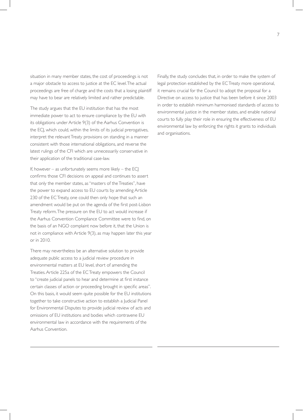situation in many member states, the cost of proceedings is not a major obstacle to access to justice at the EC level. The actual proceedings are free of charge and the costs that a losing plaintiff may have to bear are relatively limited and rather predictable.

The study argues that the EU institution that has the most immediate power to act to ensure compliance by the EU with its obligations under Article 9(3) of the Aarhus Convention is the ECJ, which could, within the limits of its judicial prerogatives, interpret the relevant Treaty provisions on standing in a manner consistent with those international obligations, and reverse the latest rulings of the CFI which are unnecessarily conservative in their application of the traditional case-law.

If, however – as unfortunately seems more likely – the  $EC$ confirms those CFI decisions on appeal and continues to assert that only the member states, as "masters of the Treaties", have the power to expand access to EU courts by amending Article 230 of the EC Treaty, one could then only hope that such an amendment would be put on the agenda of the first post-Lisbon Treaty reform. The pressure on the EU to act would increase if the Aarhus Convention Compliance Committee were to find, on the basis of an NGO complaint now before it, that the Union is not in compliance with Article 9(3), as may happen later this year or in 2010.

There may nevertheless be an alternative solution to provide adequate public access to a judicial review procedure in environmental matters at EU level, short of amending the Treaties. Article 225a of the EC Treaty empowers the Council to "create judicial panels to hear and determine at first instance certain classes of action or proceeding brought in specific areas". On this basis, it would seem quite possible for the EU institutions together to take constructive action to establish a Judicial Panel for Environmental Disputes to provide judicial review of acts and omissions of EU institutions and bodies which contravene EU environmental law in accordance with the requirements of the Aarhus Convention.

Finally, the study concludes that, in order to make the system of legal protection established by the EC Treaty more operational, it remains crucial for the Council to adopt the proposal for a Directive on access to justice that has been before it since 2003 in order to establish minimum harmonised standards of access to environmental justice in the member states, and enable national courts to fully play their role in ensuring the effectiveness of EU environmental law by enforcing the rights it grants to individuals and organisations.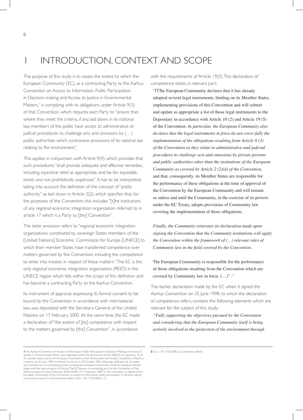# INTRODUCTION, CONTEXT AND SCOPE

The purpose of this study is to assess the extent to which the European Community (EC), as a contracting Party to the Aarhus Convention on Access to Information, Public Participation in Decision-making and Access to Justice in Environmental Matters,<sup>1</sup> is complying with its obligations under Article 9(3) of that Convention, which requires each Party to "ensure that, where they meet the criteria, if any, laid down in its national law, members of the public have access to administrative or judicial procedures to challenge acts and omissions by (…) public authorities which contravene provisions of its national law relating to the environment".

This applies in conjunction with Article 9(4), which provides that such procedures "shall provide adequate and effective remedies, including injunctive relief as appropriate, and be fair, equitable, timely and not prohibitively expensive". It has to be interpreted taking into account the definition of the concept of"public authority" as laid down in Article 2(2), which specifies that, for the purposes of the Convention, this includes "[t]he institutions of any regional economic integration organization referred to in article 17 which is a Party to [the] Convention".

The latter provision refers to "regional economic integration organizations constituted by sovereign States members of the [United Nations] Economic Commission for Europe [UNECE] to which their member States have transferred competence over matters governed by this Convention, including the competence to enter into treaties in respect of these matters". The EC is the only regional economic integration organisation (REIO) in the UNECE region which falls within the scope of this definition and has become a contracting Party to the Aarhus Convention.

Its instrument of approval, expressing its formal consent to be bound by the Convention in accordance with international law, was deposited with the Secretary-General of the United Nations on 17 February 2005. At the same time, the EC made a declaration of "the extent of [its] competence with respect to the matters governed by [the] Convention", in accordance

with the requirements of Article 19(5). This declaration of competence states, in relevant part:

 "[T]he European Community declares that it has already adopted several legal instruments, binding on its Member States, implementing provisions of this Convention and will submit and update as appropriate a list of those legal instruments to the Depositary in accordance with Article 10 (2) and Article 19 (5) of the Convention. *In particular, the European Community also declares that the legal instruments in force do not cover fully the implementation of the obligations resulting from Article 9 (3) of the Convention as they relate to administrative and judicial procedures to challenge acts and omissions by private persons and public authorities other than the institutions of the European Community as covered by Article 2 (2)(d) of the Convention,*  and that, consequently, its Member States are responsible for the performance of these obligations at the time of approval of the Convention by the European Community and will remain so unless and until the Community, in the exercise of its powers under the EC Treaty, adopts provisions of Community law covering the implementation of those obligations.

*Finally, the Community reiterates its declaration made upon signing the Convention that the Community institutions will apply the Convention within the framework of (…) relevant rules of Community law in the field covered by the Convention.*

 The European Community is responsible for the performance of those obligations resulting from the Convention which are covered by Community law in force. (…)" .<sup>2</sup>

The earlier declaration made by the EC when it signed the Aarhus Convention on 25 June 1998, to which the declaration of competence refers, contains the following elements which are relevant for the subject of this study:

 *"Fully supporting the objectives pursued by the Convention and considering that the European Community itself is being actively involved in the protection of the environment through* 

**<sup>1</sup>**The Aarhus Convention on Access to Information, Public Participation in Decision-Making and Access to Justice in Environmental Matters was negotiated within the framework of the UNECE and signed by 35 of<br>its member states and by the European Community at the ''Environment for Europe'' ministerial conference<br>in Aarhus on 25 and currently has 42 contracting parties, including the European Community and all its individual member<br>states, with the sole exception of Ireland.The EC became a contracting party to the Convention in May<br>2005, pursuant European Community, of the Convention on access to information, public participation in decision-making and access to justice in environmental matters (OJ L 124, 17.05.2005, p. 1).

**<sup>2</sup>** OJ L 124, 17.05.2005, p. 3 (emphasis added).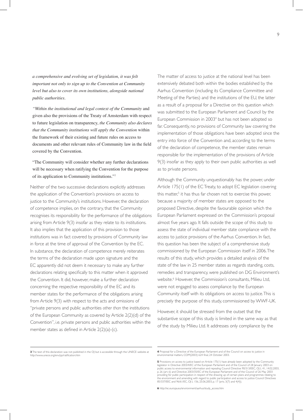*a comprehensive and evolving set of legislation, it was felt important not only to sign up to the Convention at Community level but also to cover its own institutions, alongside national public authorities.*

 *"Within the institutional and legal context of the Community* and given also the provisions of the Treaty of Amsterdam with respect to future legislation on transparency, *the Community also declares that the Community institutions will apply the Convention* within the framework of their existing and future rules on access to documents and other relevant rules of Community law in the field covered by the Convention.

### "The Community will consider whether any further declarations will be necessary when ratifying the Convention for the purpose of its application to Community institutions."<sup>3</sup>

Neither of the two successive declarations explicitly addresses the application of the Convention's provisions on access to justice to the Community's institutions. However, the declaration of competence implies, on the contrary, that the Community recognises its responsibility for the performance of the obligations arising from Article 9(3) insofar as they relate to its institutions. It also implies that the application of this provision to those institutions was in fact covered by provisions of Community law in force at the time of approval of the Convention by the EC. In substance, the declaration of competence merely reiterates the terms of the declaration made upon signature and the EC apparently did not deem it necessary to make any further declarations relating specifically to this matter when it approved the Convention. It did, however, make a further declaration concerning the respective responsibility of the EC and its member states for the performance of the obligations arising from Article 9(3) with respect to the acts and omissions of "private persons and public authorities *other than* the institutions of the European Community as covered by Article 2(2)(d) of the Convention", i.e. private persons and public authorities within the member states as defined in Article  $2(2)(a)-(c)$ .

The matter of access to justice at the national level has been extensively debated both within the bodies established by the Aarhus Convention (including its Compliance Committee and Meeting of the Parties) and the institutions of the EU, the latter as a result of a proposal for a Directive on this question which was submitted to the European Parliament and Council by the European Commission in 2003<sup>4</sup> but has not been adopted so far. Consequently, no provisions of Community law covering the implementation of those obligations have been adopted since the entry into force of the Convention and, according to the terms of the declaration of competence, the member states remain responsible for the implementation of the provisions of Article 9(3) insofar as they apply to their own public authorities as well as to private persons.

Although the Community unquestionably has the power, under Article 175(1) of the EC Treaty, to adopt EC legislation covering this matter,<sup>5</sup> it has thus far chosen not to exercise this power, because a majority of member states are opposed to the proposed Directive, despite the favourable opinion which the European Parliament expressed on the Commission's proposal almost five years ago. It falls outside the scope of this study to assess the state of individual member state compliance with the access to justice provisions of the Aarhus Convention. In fact, this question has been the subject of a comprehensive study commissioned by the European Commission itself in 2006. The results of this study, which provides a detailed analysis of the state of the law in 25 member states as regards standing, costs, remedies and transparency, were published on DG Environment's website.<sup>6</sup> However, the Commission's consultants, Milieu Ltd, were not engaged to assess compliance by the European Community itself with its obligations on access to justice. This is precisely the purpose of this study, commissioned by WWF-UK.

However, it should be stressed from the outset that the substantive scope of this study is limited in the same way as that of the study by Milieu Ltd. It addresses only compliance by the

**6** http://ec.europa.eu/environment/aarhus/study\_access.htm

**<sup>3</sup>** The text of this declaration was not published in the OJ but is accessible through the UNECE website at http://www.unece.org/env/pp/ratification.htm www.unece.org/env/pp/ratification.html

**<sup>4</sup>** Proposal for a Directive of the European Parliament and of the Council on access to justice in environmental matters, COM(2003) 624 final, 24 October 2003.

**<sup>5</sup>** Provisions on access to justice based on Article 175(1) have already been adopted by the Community legislator in Directive 2003/4/EC of the European Parliament and of the Council of 28 January 2003 on<br>public access to environmental information and repealing Council Directive 90/313/EEC, OJ L 41, 14.02.2003,<br>p. 26 (art. providing for public participation in respect of the drawing up of certain plans and programmes relating to<br>the environment and amending with regard to public participation and access to justice Council Directives<br>85/337/E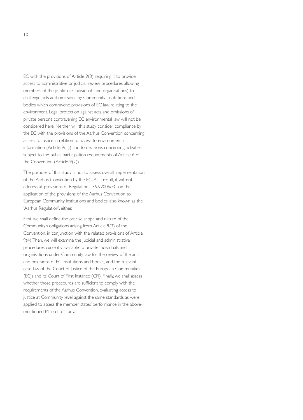EC with the provisions of Article 9(3) requiring it to provide access to administrative or judicial review procedures allowing members of the public (i.e. individuals and organisations) to challenge acts and omissions by Community institutions and bodies which contravene provisions of EC law relating to the environment. Legal protection against acts and omissions of private persons contravening EC environmental law will not be considered here. Neither will this study consider compliance by the EC with the provisions of the Aarhus Convention concerning access to justice in relation to access to environmental information (Article 9(1)) and to decisions concerning activities subject to the public participation requirements of Article 6 of the Convention (Article 9(2)).

The purpose of this study is not to assess overall implementation of the Aarhus Convention by the EC. As a result, it will not address all provisions of Regulation 1367/2006/EC on the application of the provisions of the Aarhus Convention to European Community institutions and bodies, also known as the 'Aarhus Regulation', either.

First, we shall define the precise scope and nature of the Community's obligations arising from Article 9(3) of the Convention, in conjunction with the related provisions of Article 9(4). Then, we will examine the judicial and administrative procedures currently available to private individuals and organisations under Community law for the review of the acts and omissions of EC institutions and bodies, and the relevant case-law of the Court of Justice of the European Communities (ECJ) and its Court of First Instance (CFI). Finally, we shall assess whether those procedures are sufficient to comply with the requirements of the Aarhus Convention, evaluating access to justice at Community level against the same standards as were applied to assess the member states' performance in the abovementioned Milieu Ltd study.

10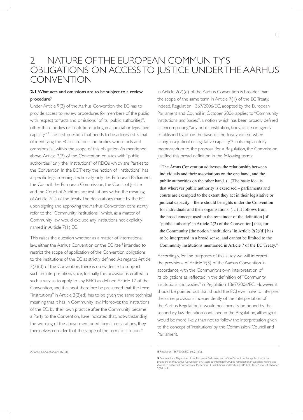# 2 NATURE OF THE EUROPEAN COMMUNITY'S OBLIGATIONS ON ACCESS TO JUSTICE UNDER THE AARHUS **CONVENTION**

### **2.1** What acts and omissions are to be subject to a review procedure?

Under Article 9(3) of the Aarhus Convention, the EC has to provide access to review procedures for members of the public with respect to "acts and omissions" of its "public authorities", other than "bodies or institutions acting in a judicial or legislative capacity".7The first question that needs to be addressed is that of identifying the EC institutions and bodies whose acts and omissions fall within the scope of this obligation. As mentioned above, Article 2(2) of the Convention equates with "public authorities" only the "institutions" of REIOs which are Parties to the Convention. In the EC Treaty, the notion of "institutions" has a specific legal meaning: technically, only the European Parliament, the Council, the European Commission, the Court of Justice and the Court of Auditors are institutions within the meaning of Article 7(1) of the Treaty. The declarations made by the EC upon signing and approving the Aarhus Convention consistently refer to the "Community institutions", which, as a matter of Community law, would exclude any institutions not explicitly named in Article 7(1) EC.

This raises the question whether, as a matter of international law, either the Aarhus Convention or the EC itself intended to restrict the scope of application of the Convention obligations to the institutions of the EC as strictly defined. As regards Article 2(2)(d) of the Convention, there is no evidence to support such an interpretation, since, formally, this provision is drafted in such a way as to apply to any REIO as defined Article 17 of the Convention, and it cannot therefore be presumed that the term "institutions" in Article 2(2)(d) has to be given the same technical meaning that it has in Community law. Moreover, the institutions of the EC, by their own practice after the Community became a Party to the Convention, have indicated that, notwithstanding the wording of the above-mentioned formal declarations, they themselves consider that the scope of the term "institutions"

in Article 2(2)(d) of the Aarhus Convention is broader than the scope of the same term in Article 7(1) of the EC Treaty. Indeed, Regulation 1367/2006/EC, adopted by the European Parliament and Council in October 2006, applies to "Community institutions *and bodies*", a notion which has been broadly defined as encompassing "any public institution, body, office or agency established by, or on the basis of, the Treaty except when acting in a judicial or legislative capacity."8 In its explanatory memorandum to the proposal for a Regulation, the Commission justified this broad definition in the following terms:

 "The Århus Convention addresses the relationship between individuals and their associations on the one hand, and the public authorities on the other hand. (...)The basic idea is that wherever public authority is exercised – parliaments and courts are exempted to the extent they act in their legislative or judicial capacity – there should be rights under the Convention for individuals and their organisations. (…) It follows from the broad concept used in the remainder of the definition [of 'public authority' in Article 2(2) of the Convention] that, for the Community [the notion 'institutions' in Article  $2(2)(d)$ ] has to be interpreted in a broad sense, and cannot be limited to the Community institutions mentioned in Article 7 of the EC Treaty."<sup>9</sup>

Accordingly, for the purposes of this study we will interpret the provisions of Article 9(3) of the Aarhus Convention in accordance with the Community's own interpretation of its obligations as reflected in the definition of"Community institutions and bodies" in Regulation 1367/2006/EC. However, it should be pointed out that, should the ECJ ever have to interpret the same provisions independently of the interpretation of the Aarhus Regulation, it would not formally be bound by the secondary law definition contained in the Regulation, although it would be more likely than not to follow the interpretation given to the concept of 'institutions' by the Commission, Council and Parliament.

**<sup>7</sup>** Aarhus Convention, art. 2(2)(d). **8** Regulation 1367/2006/EC, art. 2(1)(c).

**<sup>9</sup>** Proposal for a Regulation of the European Parliament and of the Council on the application of the<br>provisions of the Aarhus Convention on Access to Information, Public Participation in Decision-making and<br>Access to Just 2003, p. 8.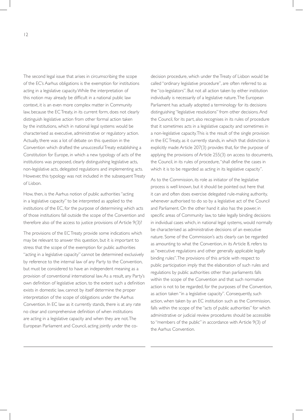The second legal issue that arises in circumscribing the scope of the EC's Aarhus obligations is the exemption for institutions acting in a legislative capacity. While the interpretation of this notion may already be difficult in a national public law context, it is an even more complex matter in Community law, because the EC Treaty, in its current form, does not clearly distinguish legislative action from other formal action taken by the institutions, which in national legal systems would be characterised as executive, administrative or regulatory action. Actually, there was a lot of debate on this question in the Convention which drafted the unsuccessful Treaty establishing a Constitution for Europe, in which a new typology of acts of the institutions was proposed, clearly distinguishing legislative acts, non-legislative acts, delegated regulations and implementing acts. However, this typology was not included in the subsequent Treaty of Lisbon.

How, then, is the Aarhus notion of public authorities "acting in a legislative capacity" to be interpreted as applied to the institutions of the EC, for the purpose of determining which acts of those institutions fall outside the scope of the Convention and therefore also of the access to justice provisions of Article 9(3)?

The provisions of the EC Treaty provide some indications which may be relevant to answer this question, but it is important to stress that the scope of the exemption for public authorities "acting in a legislative capacity" cannot be determined exclusively by reference to the internal law of any Party to the Convention, but must be considered to have an independent meaning as a provision of conventional international law. As a result, any Party's own definition of legislative action, to the extent such a definition exists in domestic law, cannot by itself determine the proper interpretation of the scope of obligations under the Aarhus Convention. In EC law as it currently stands, there is at any rate no clear and comprehensive definition of when institutions are acting in a legislative capacity and when they are not. The European Parliament and Council, acting jointly under the codecision procedure, which under the Treaty of Lisbon would be called "ordinary legislative procedure", are often referred to as the "co-legislators". But not all action taken by either institution individually is necessarily of a legislative nature. The European Parliament has actually adopted a terminology for its decisions distinguishing "legislative resolutions" from other decisions. And the Council, for its part, also recognises in its rules of procedure that it sometimes acts in a legislative capacity and sometimes in a non-legislative capacity. This is the result of the single provision in the EC Treaty, as it currently stands, in which that distinction is explicitly made: Article 207(3) provides that, for the purpose of applying the provisions of Article 255(3) on access to documents, the Council, in its rules of procedure,"shall define the cases in which it is to be regarded as acting in its legislative capacity".

As to the Commission, its role as initiator of the legislative process is well known, but it should be pointed out here that it can and often does exercise delegated rule-making authority, whenever authorised to do so by a legislative act of the Council and Parliament. On the other hand it also has the power, in specific areas of Community law, to take legally binding decisions in individual cases which, in national legal systems, would normally be characterised as administrative decisions of an executive nature. Some of the Commission's acts clearly can be regarded as amounting to what the Convention, in its Article 8, refers to as "executive regulations and other generally applicable legally binding rules". The provisions of this article with respect to public participation imply that the elaboration of such rules and regulations by public authorities other than parliaments falls within the scope of the Convention and that such normative action is not to be regarded, for the purposes of the Convention, as action taken "in a legislative capacity". Consequently, such action, when taken by an EC institution such as the Commission, falls within the scope of the "acts of public authorities" for which administrative or judicial review procedures should be accessible to "members of the public" in accordance with Article 9(3) of the Aarhus Convention.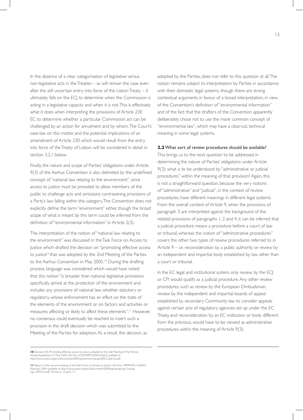In the absence of a clear categorisation of legislative versus non-legislative acts in the Treaties – as will remain the case even after the still uncertain entry into force of the Lisbon Treaty – it ultimately falls on the ECJ to determine when the Commission is acting in a legislative capacity and when it is not. This is effectively what it does when interpreting the provisions of Article 230 EC to determine whether a particular Commission act can be challenged by an action for annulment and by whom. The Court's case-law on this matter, and the potential implications of an amendment of Article 230 which would result from the entry into force of the Treaty of Lisbon, will be considered in detail in section 3.2.1 below.

Finally, the nature and scope of Parties' obligations under Article 9(3) of the Aarhus Convention is also delimited by the undefined concept of "national law relating to the environment", since access to justice must be provided to allow members of the public to challenge acts and omissions contravening provisions of a Party's law falling within this category. The Convention does not explicitly define the term "environment" either, though the broad scope of what is meant by this term could be inferred from the definition of "environmental information" in Article 2(3).

The interpretation of the notion of "national law relating to the environment" was discussed in the Task Force on Access to Justice which drafted the decision on "promoting effective access to justice" that was adopted by the 2nd Meeting of the Parties to the Aarhus Convention in May 2005.<sup>10</sup> During the drafting process, language was considered which would have noted that this notion "is broader than national legislative provisions specifically aimed at the protection of the environment and includes any provisions of national law, whether statutory or regulatory, whose enforcement has an effect on the state of the elements of the environment or on factors and activities or measures affecting or likely to affect these elements".<sup>11</sup> However, no consensus could eventually be reached to insert such a provision in the draft decision which was submitted to the Meeting of the Parties for adoption. As a result, the decision, as

adopted by the Parties, does not refer to this question at all. The notion remains subject to interpretation by Parties in accordance with their domestic legal systems, though there are strong contextual arguments in favour of a broad interpretation, in view of the Convention's definition of"environmental information" and of the fact that the drafters of the Convention apparently deliberately chose not to use the more common concept of "environmental law", which may have a clear-cut, technical meaning in some legal systems.

#### **2.2** What sort of review procedures should be available?

This brings us to the next question to be addressed in determining the nature of Parties' obligations under Article 9(3): what is to be understood by "administrative or judicial procedures" within the meaning of that provision? Again, this is not a straightforward question, because the very notions of "administrative" and "judicial", in the context of review procedures, have different meanings in different legal systems. From the overall context of Article 9, when the provisions of paragraph 3 are interpreted against the background of the related provisions of paragraphs 1, 2 and 4, it can be inferred that a judicial procedure means a procedure before a court of law or tribunal, whereas the notion of "administrative procedures" covers the other two types of review procedures referred to in Article 9 – i.e. reconsideration by a public authority or review by an independent and impartial body established by law other than a court or tribunal.

In the EC legal and institutional system, only review by the ECJ or CFI would qualify as a judicial procedure. Any other review procedures, such as review by the European Ombudsman, review by the independent and impartial boards of appeal established by secondary Community law to consider appeals against certain acts of regulatory agencies set up under the EC Treaty, and reconsideration by an EC institution or body different from the previous, would have to be viewed as administrative procedures within the meaning of Article 9(3).

**<sup>10</sup>** Decision II/2, Promoting effective access to justice, adopted at the 2nd Meeting of the Parties, Almaty, Kazakhstan, 27 May 2005, UN Doc. ECE/MP.PP/2005/2/Add.3, available at http://www.unece.org/env/documents/2005/pp/ece/ece.mp.pp.2005.2.add.3.e.pdf,

<sup>11</sup> Report of the second meeting of the Task Force on Access to Justice, UN Doc. MP.PP/WG.1/2004/3, .<br>ary 2004, available at http://www.unece.org/env/documents/2004/pp/mp.pp/wg.1/mp.pp wg.1.2004.3.e.pdf, Annex, p. 15, para. 17.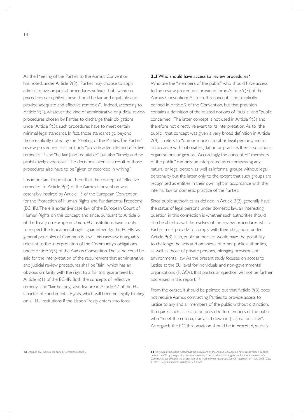As the Meeting of the Parties to the Aarhus Convention has noted, under Article 9(3), "Parties may choose to apply administrative or judicial procedures *or both*", but, "*whatever procedures are applied,* these should be fair and equitable and provide adequate and effective remedies". Indeed, according to

Article 9(4), whatever the kind of administrative or judicial review procedures chosen by Parties to discharge their obligations under Article 9(3), such procedures have to meet certain minimal legal standards. In fact, those standards go beyond those explicitly noted by the Meeting of the Parties. The Parties' review procedures shall not only "provide adequate and effective remedies"<sup>12</sup> and "be fair [and] equitable", but also "timely and not prohibitively expensive". The decisions taken as a result of those procedures also have to be "given or recorded in writing".

It is important to point out here that the concept of "effective remedies" in Article 9(4) of the Aarhus Convention was ostensibly inspired by Article 13 of the European Convention for the Protection of Human Rights and Fundamental Freedoms (ECHR). There is extensive case-law of the European Court of Human Rights on this concept, and since, pursuant to Article 6 of the Treaty on European Union, EU institutions have a duty to respect the fundamental rights guaranteed by the ECHR "as general principles of Community law", this case-law is arguably relevant to the interpretation of the Community's obligations under Article 9(3) of the Aarhus Convention. The same could be said for the interpretation of the requirement that administrative and judicial review procedures shall be "fair", which has an obvious similarity with the right to a fair trial guaranteed by Article 6(1) of the ECHR. Both the concepts of "effective remedy" and "fair hearing" also feature in Article 47 of the EU Charter of Fundamental Rights, which will become legally binding on all EU institutions if the Lisbon Treaty enters into force.

#### **2.3** Who should have access to review procedures?

Who are the "members of the public" who should have access to the review procedures provided for in Article 9(3) of the Aarhus Convention? As such, this concept is not explicitly defined in Article 2 of the Convention, but that provision contains a definition of the related notions of"public" and "public concerned". The latter concept is not used in Article 9(3) and therefore not directly relevant to its interpretation. As to "the public", that concept was given a very broad definition in Article 2(4). It refers to "one or more natural or legal persons, and, in accordance with national legislation or practice, their associations, organizations or groups".Accordingly, the concept of"members of the public" can only be interpreted as encompassing any natural or legal person, as well as informal groups without legal personality, but the latter only to the extent that such groups are recognised as entities in their own right in accordance with the internal law or domestic practice of the Parties.

Since public authorities, as defined in Article 2(2), generally have the status of legal persons under domestic law, an interesting question in this connection is whether such authorities should also be able to avail themselves of the review procedures which Parties must provide to comply with their obligations under Article 9(3). If so, public authorities would have the possibility to challenge the acts and omissions of other public authorities, as well as those of private persons, infringing provisions of environmental law. As the present study focuses on access to justice at the EU level for individuals and non-governmental organisations (NGOs), that particular question will not be further addressed in this report.<sup>13</sup>

From the outset, it should be pointed out that Article 9(3) does not require Aarhus contracting Parties to provide access to justice to any and all members of the public without distinction. It requires such access to be provided to members of the public who "meet the criteria, if any, laid down in (…) national law". As regards the EC, this provision should be interpreted, *mutatis*

**<sup>12</sup>** Decision II/2, supra n. 10, para. 17 (emphasis added). **13** However, it should be noted that the provisions of the Aarhus Convention have already been invoked before the CFI by a regional government seeking to establish its standing to sue for the annulment of a<br>Community act affecting the protection of its marine living resources. See CFI Judgment of 1 July 2008, Case<br>T 37/04,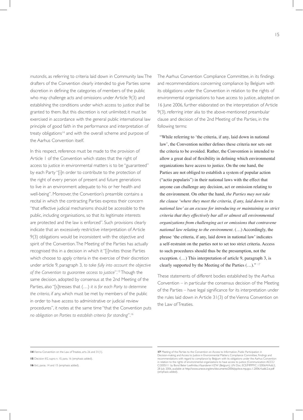*mutandis*, as referring to criteria laid down in Community law. The drafters of the Convention clearly intended to give Parties some discretion in defining the categories of members of the public who may challenge acts and omissions under Article 9(3) and establishing the conditions under which access to justice shall be granted to them. But this discretion is not unlimited; it must be exercised in accordance with the general public international law principle of good faith in the performance and interpretation of treaty obligations<sup>14</sup> and with the overall scheme and purpose of the Aarhus Convention itself.

In this respect, reference must be made to the provision of Article 1 of the Convention which states that the right of access to justice in environmental matters is to be "guaranteed" by each Party "[i]n order to contribute to the protection of the right of every person of present and future generations to live in an environment adequate to his or her health and well-being". Moreover, the Convention's preamble contains a recital in which the contracting Parties express their concern "that effective judicial mechanisms should be accessible to the public, including organisations, so that its legitimate interests are protected and the law is enforced". Such provisions clearly indicate that an excessively restrictive interpretation of Article 9(3) obligations would be inconsistent with the objective and spirit of the Convention. The Meeting of the Parties has actually recognised this in a decision in which it "[i]nvites those Parties which choose to apply criteria in the exercise of their discretion under article 9, paragraph 3, *to take fully into account the objective of the Convention to guarantee access to justice*".15 Though the same decision, adopted by consensus at the 2nd Meeting of the Parties, also "[s]tresses that (…) *it is for each Party to determine the criteria*, if any, which must be met by members of the public in order to have access to administrative or judicial review procedures", it notes at the same time "that the Convention puts *no obligation on Parties to establish criteria for standing*".16

The Aarhus Convention Compliance Committee, in its findings and recommendations concerning compliance by Belgium with its obligations under the Convention in relation to the rights of environmental organisations to have access to justice, adopted on 16 June 2006, further elaborated on the interpretation of Article 9(3), referring inter alia to the above-mentioned preambular clause and decision of the 2nd Meeting of the Parties, in the following terms:

 "While referring to 'the criteria, if any, laid down in national law', the Convention neither defines these criteria nor sets out the criteria to be avoided. Rather, the Convention is intended to allow a great deal of flexibility in defining which environmental organizations have access to justice. On the one hand, the Parties are not obliged to establish a system of popular action ("actio popularis") in their national laws with the effect that anyone can challenge any decision, act or omission relating to the environment. On other the hand, *the Parties may not take the clause 'where they meet the criteria, if any, laid down in its national law' as an excuse for introducing or maintaining so strict criteria that they effectively bar all or almost all environmental organizations from challenging act or omissions that contravene national law relating to the environment*. (…) Accordingly, the phrase 'the criteria, if any, laid down in national law' indicates a self-restraint on the parties not to set too strict criteria. Access to such procedures should thus be the presumption, not the exception. (…) This interpretation of article 9, paragraph 3, is clearly supported by the Meeting of the Parties (...)."<sup>17</sup>

These statements of different bodies established by the Aarhus Convention – in particular the consensus decision of the Meeting of the Parties – have legal significance for its interpretation under the rules laid down in Article 31(3) of the Vienna Convention on the Law of Treaties.

**<sup>14</sup>** Vienna Convention on the Law of Treaties, arts. 26 and 31(1).

**<sup>15</sup>** Decision II/2, supra n. 10, para. 16 (emphasis added).

**<sup>16</sup>** *Ibid*., paras. 14 and 15 (emphasis added).

**<sup>17</sup>** Meeting of the Parties to the Convention on Access to Information, Public Participation in Decision-making and Access to Justice in Environmental Matters, Compliance Committee, Findings and recommendations with regard to compliance by Belgium with its obligations under the Aarhus Convention in relation to the rights of environmental organizations to have access to justice (Communication ACCC/<br>C/2005/11 by Bond Beter Leefmilieu Vlaanderen VZW (Belgium), UN Doc. ECE/MP.PP/C.1/2006/4/Add.2, 28 July 2006, available at http://www.unece.org/env/documents/2006/pp/ece.mp.pp.c.1.2006.4.add.2.e.pdf (emphasis added).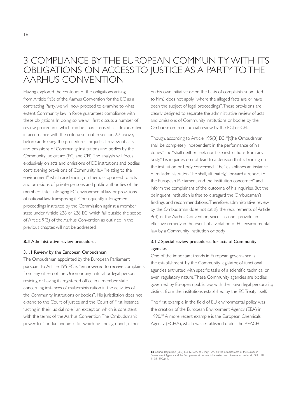# 3 COMPLIANCE BY THE EUROPEAN COMMUNITY WITH ITS OBLIGATIONS ON ACCESS TO JUSTICE AS A PARTY TO THE AARHUS CONVENTION

Having explored the contours of the obligations arising from Article 9(3) of the Aarhus Convention for the EC as a contracting Party, we will now proceed to examine to what extent Community law in force guarantees compliance with these obligations. In doing so, we will first discuss a number of review procedures which can be characterised as administrative in accordance with the criteria set out in section 2.2 above, before addressing the procedures for judicial review of acts and omissions of Community institutions and bodies by the Community judicature (ECJ and CFI). The analysis will focus exclusively on acts and omissions of EC institutions and bodies contravening provisions of Community law "relating to the environment" which are binding on them, as opposed to acts and omissions of private persons and public authorities of the member states infringing EC environmental law or provisions of national law transposing it. Consequently, infringement proceedings instituted by the Commission against a member state under Article 226 or 228 EC, which fall outside the scope of Article 9(3) of the Aarhus Convention as outlined in the previous chapter, will not be addressed.

#### **3.1** Administrative review procedures

#### 3.1.1 Review by the European Ombudsman

The Ombudsman appointed by the European Parliament pursuant to Article 195 EC is "empowered to receive complaints from any citizen of the Union or any natural or legal person residing or having its registered office in a member state concerning instances of maladministration in the activities of the Community institutions or bodies". His jurisdiction does not extend to the Court of Justice and the Court of First Instance "acting in their judicial role", an exception which is consistent with the terms of the Aarhus Convention. The Ombudsman's power to "conduct inquiries for which he finds grounds, either

on his own initiative or on the basis of complaints submitted to him," does not apply "where the alleged facts are or have been the subject of legal proceedings". These provisions are clearly designed to separate the administrative review of acts and omissions of Community institutions or bodies by the Ombudsman from judicial review by the ECJ or CFI.

Though, according to Article 195(3) EC, "[t]he Ombudsman shall be completely independent in the performance of his duties" and "shall neither seek nor take instructions from any body," his inquiries do not lead to a decision that is binding on the institution or body concerned. If he "establishes an instance of maladministration", he shall, ultimately, "forward a report to the European Parliament and the institution concerned" and inform the complainant of the outcome of his inquiries. But the delinquent institution is free to disregard the Ombudsman's findings and recommendations.Therefore, administrative review by the Ombudsman does not satisfy the requirements of Article 9(4) of the Aarhus Convention, since it cannot provide an effective remedy in the event of a violation of EC environmental law by a Community institution or body.

### 3.1.2 Special review procedures for acts of Community agencies

One of the important trends in European governance is the establishment, by the Community legislator, of functional agencies entrusted with specific tasks of a scientific, technical or even regulatory nature. These Community agencies are bodies governed by European public law, with their own legal personality, distinct from the institutions established by the EC Treaty itself.

The first example in the field of EU environmental policy was the creation of the European Environment Agency (EEA) in 1990.<sup>18</sup> A more recent example is the European Chemicals Agency (ECHA), which was established under the REACH

**<sup>18</sup>** Council Regulation (EEC) No 1210/90 of 7 May 1990 on the establishment of the European Environment Agency and the European environment information and observation network, OJ L 120, 11.05.1990, p. 1.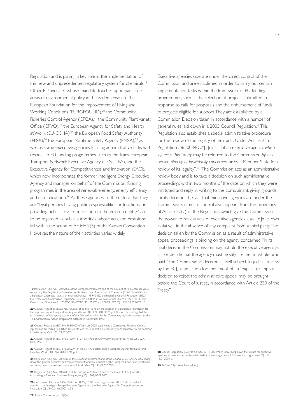Regulation and is playing a key role in the implementation of this new and unprecedented regulatory system for chemicals.<sup>19</sup> Other EU agencies whose mandate touches upon particular areas of environmental policy in the wider sense are the European Foundation for the Improvement of Living and Working Conditions (EUROFOUND),<sup>20</sup> the Community Fisheries Control Agency (CFCA),<sup>21</sup> the Community Plant Variety Office (CPVO),<sup>22</sup> the European Agency for Safety and Health at Work (EU-OSHA),<sup>23</sup> the European Food Safety Authority (EFSA),<sup>24</sup> the European Maritime Safety Agency (EMSA),<sup>25</sup> as well as some executive agencies fulfilling administrative tasks with respect to EU funding programmes, such as the Trans-European Transport Network Executive Agency (TEN-T EA), and the Executive Agency for Competitiveness and Innovation (EACI), which now incorporates the former Intelligent Energy Executive Agency, and manages, on behalf of the Commission, funding programmes in the area of renewable energy, energy efficiency and eco-innovation.<sup>26</sup> All these agencies, to the extent that they are "legal persons having public responsibilities or functions, or providing public services, in relation to the environment",<sup>27</sup> are to be regarded as public authorities whose acts and omissions fall within the scope of Article 9(3) of the Aarhus Convention. However, the nature of their activities varies widely.

**19** Regulation (EC) No 1907/2006 of the European Parliament and of the Council of 18 December 2006 concerning the Registration, Evaluation, Authorisation and Restriction of Chemicals (REACH), establishing<br>a European Chemicals Agency, amending Directive 1999/45/EC and repealing Council Regulation (EEC)<br>No 793/93 and Comm

**20** Council Regulation (EEC) No. 1365/75 of 26 May 1975 on the creation of a European Foundation for the improvement of living and working conditions, OJ L 139, 30.05.1975, p. 1. It is worth recalling that the establishment of this agency was one of the first actions taken by the Community legislator pursuant to the 1st Environmental Action Programme adopted in November 1973.

**21** Council Regulation (EC) No 768/2005 of 26 April 2005 establishing a Community Fisheries Control<br>Agency and amending Regulation (EEC) No 2847/93 establishing a control system applicable to the common<br>fisheries policy O

22 Council Regulation (EC) No 2100/94 of 27 July 1994 on Community plant variety rights, OJ L 227, 01.09.1994, p. 1

23 Council Regulation (EC) No 2062/94 of 18 July 1994 establishing a European Agency for Safety and Health at Work, OJ L 216, 20.08.1994, p. 1.

24 Regulation (EC) No 178/2002 of the European Parliament and of the Council of 28 January 2002 laying down the general principles and requirements of food law, establishing the European Food Safety Authority and laying down procedures in matters of food safety, OJ L 31, 01.02.2002, p. 1.

**25** Regulation (EC) No 1406/2002 of the European Parliament and of the Council of 27 June 2002 establishing a European Maritime Safety Agency, OJ L 208, 05.08.2002, p. 1.

**26** Commission Decision 2007/372/EC of 31 May 2007 amending Decision 2004/20/EC in order to transform the 'Intelligent Energy Executive Agency' into the Executive Agency for Competitiveness and Innovation, OJ L 140, 01.06.2007, p. 52.

**27** Aarhus Convention, art. 2(2)(c).

Executive agencies operate under the direct control of the Commission and are established in order to carry out certain implementation tasks within the framework of EU funding programmes, such as the selection of projects submitted in response to calls for proposals and the disbursement of funds to projects eligible for support. They are established by a Commission Decision taken in accordance with a number of general rules laid down in a 2003 Council Regulation.<sup>28</sup> This Regulation also establishes a special administrative procedure for the review of the legality of their acts. Under Article 22 of Regulation 58/2003/EC, "[a]ny act of an executive agency *which injures a third party* may be referred to the Commission *by any person directly or individually concerned* or by a Member State for a review of its legality".<sup>29</sup> The Commission acts as an administrative review body and is to take a decision on such administrative proceedings within two months of the date on which they were instituted and reply in writing to the complainant, giving grounds for its decision. The fact that executive agencies are under the Commission's ultimate control also appears from the provisions of Article 22(2) of the Regulation, which give the Commission the power to review acts of executive agencies also "[o]n its own initiative", in the absence of any complaint from a third party. The decision taken by the Commission as a result of administrative appeal proceedings is binding on the agency concerned: "In its final decision the Commission may uphold the executive agency's act or decide that the agency must modify it either in whole or in part." The Commission's decision is itself subject to judicial review by the ECJ, as an action for annulment of an "explicit or implicit decision to reject the administrative appeal may be brought before the Court of Justice, in accordance with Article 230 of the Treaty."

**29** *Ibid.*, art. 22(1) (emphasis added).

**<sup>28</sup>** Council Regulation (EC) No 58/2003 of 19 December 2002 laying down the statute for executive agencies to be entrusted with certain tasks in the management of Community programmes, OJ L 11, 16.01.2003, p. 1.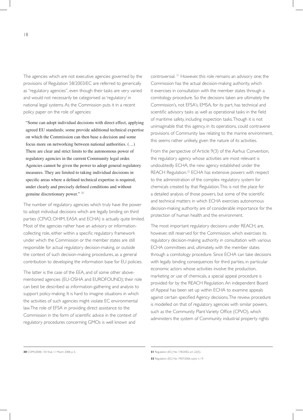The agencies which are not executive agencies governed by the provisions of Regulation 58/2003/EC are referred to generically as "regulatory agencies", even though their tasks are very varied and would not necessarily be categorised as 'regulatory' in national legal systems. As the Commission puts it in a recent policy paper on the role of agencies:

 "Some can adopt individual decisions with direct effect, applying agreed EU standards; some provide additional technical expertise on which the Commission can then base a decision and some focus more on networking between national authorities. (…) There are clear and strict limits to the autonomous power of regulatory agencies in the current Community legal order. Agencies cannot be given the power to adopt general regulatory measures. They are limited to taking individual decisions in specific areas where a defined technical expertise is required, under clearly and precisely defined conditions and without genuine discretionary power." <sup>30</sup>

The number of regulatory agencies which truly have the power to adopt individual decisions which are legally binding on third parties (CPVO, OHIM, EASA and ECHA) is actually quite limited. Most of the agencies rather have an advisory or informationcollecting role, either within a specific regulatory framework under which the Commission or the member states are still responsible for actual regulatory decision-making, or outside the context of such decision-making procedures, as a general contribution to developing the information base for EU policies.

The latter is the case of the EEA, and of some other abovementioned agencies (EU-OSHA and EUROFOUND); their role can best be described as information-gathering and analysis to support policy-making. It is hard to imagine situations in which the activities of such agencies might violate EC environmental law. The role of EFSA in providing direct assistance to the Commission in the form of scientific advice in the context of regulatory procedures concerning GMOs is well known and

controversial. 31 However, this role remains an advisory one; the Commission has the actual decision-making authority, which it exercises in consultation with the member states through a comitology procedure. So the decisions taken are ultimately the Commission's, not EFSA's. EMSA, for its part, has technical and scientific advisory tasks as well as operational tasks in the field of maritime safety, including inspection tasks. Though it is not unimaginable that this agency, in its operations, could contravene provisions of Community law relating to the marine environment, this seems rather unlikely, given the nature of its activities.

From the perspective of Article 9(3) of the Aarhus Convention, the regulatory agency whose activities are most relevant is undoubtedly ECHA, the new agency established under the REACH Regulation.<sup>32</sup> ECHA has extensive powers with respect to the administration of the complex regulatory system for chemicals created by that Regulation. This is not the place for a detailed analysis of those powers, but some of the scientific and technical matters in which ECHA exercises autonomous decision-making authority are of considerable importance for the protection of human health and the environment.

The most important regulatory decisions under REACH, are, however, still reserved for the Commission, which exercises its regulatory decision-making authority in consultation with various ECHA committees and, ultimately, with the member states through a comitology procedure. Since ECHA can take decisions with legally binding consequences for third parties, in particular economic actors whose activities involve the production, marketing or use of chemicals, a special appeal procedure is provided for by the REACH Regulation. An independent Board of Appeal has been set up within ECHA to examine appeals against certain specified Agency decisions. The review procedure is modelled on that of regulatory agencies with similar powers, such as the Community Plant Variety Office (CPVO), which administers the system of Community industrial property rights

**32** Regulation (EC) No 1907/2006, *supra* n. 19.

**<sup>30</sup>** COM(2008) 135 final, 11 March 2008, p. 5.

**<sup>31</sup>** Regulation (EC) No 178/2002, art. 22(5).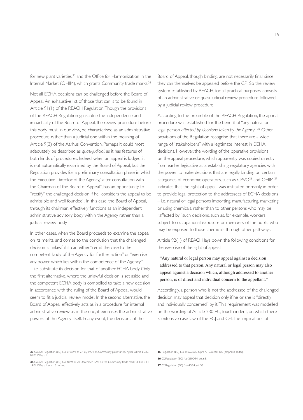for new plant varieties,<sup>33</sup> and the Office for Harmonization in the Internal Market (OHIM), which grants Community trade marks.34

Not all ECHA decisions can be challenged before the Board of Appeal. An exhaustive list of those that can is to be found in Article 91(1) of the REACH Regulation. Though the provisions of the REACH Regulation guarantee the independence and impartiality of the Board of Appeal, the review procedure before this body must, in our view, be characterised as an administrative procedure rather than a judicial one within the meaning of Article 9(3) of the Aarhus Convention. Perhaps it could most adequately be described as *quasi-judicial*, as it has features of both kinds of procedures. Indeed, when an appeal is lodged, it is not automatically examined by the Board of Appeal, but the Regulation provides for a preliminary consultation phase in which the Executive Director of the Agency, "after consultation with the Chairman of the Board of Appeal", has an opportunity to "rectify" the challenged decision if he "considers the appeal to be admissible and well founded". In this case, the Board of Appeal, through its chairman, effectively functions as an independent administrative advisory body within the Agency rather than a judicial review body.

In other cases, when the Board proceeds to examine the appeal on its merits, and comes to the conclusion that the challenged decision is unlawful, it can either "remit the case to the competent body of the Agency for further action" or "exercise any power which lies within the competence of the Agency" – i.e. substitute its decision for that of another ECHA body. Only the first alternative, where the unlawful decision is set aside and the competent ECHA body is compelled to take a new decision in accordance with the ruling of the Board of Appeal, would seem to fit a judicial review model. In the second alternative, the Board of Appeal effectively acts as in a procedure for internal administrative review as, in the end, it exercises the administrative powers of the Agency itself. In any event, the decisions of the

Board of Appeal, though binding, are not necessarily final, since they can themselves be appealed before the CFI. So the review system established by REACH, for all practical purposes, consists of an administrative or quasi-judicial review procedure followed by a judicial review procedure.

According to the preamble of the REACH Regulation, the appeal procedure was established for the benefit of"any natural or legal person *affected by decisions taken by the Agency*".35 Other provisions of the Regulation recognise that there are a wide range of "stakeholders" with a legitimate interest in ECHA decisions. However, the wording of the operative provisions on the appeal procedure, which apparently was copied directly from earlier legislative acts establishing regulatory agencies with the power to make decisions that are legally binding on certain categories of economic operators, such as CPVO<sup>36</sup> and OHIM,<sup>37</sup> indicates that the right of appeal was instituted primarily in order to provide legal protection to the addressees of ECHA decisions – i.e. natural or legal persons importing, manufacturing, marketing or using chemicals, rather than to other persons who may be "affected by" such decisions, such as, for example, workers subject to occupational exposure or members of the public who may be exposed to those chemicals through other pathways.

Article 92(1) of REACH lays down the following conditions for the exercise of the right of appeal:

 "Any natural or legal person may appeal against a decision addressed to that person. Any natural or legal person may also appeal against a decision which, although addressed to another person, is of direct and individual concern to the appellant."

Accordingly, a person who is not the addressee of the challenged decision may appeal that decision only if he or she is "directly and individually concerned" by it. This requirement was modelled on the wording of Article 230 EC, fourth indent, on which there is extensive case-law of the ECJ and CFI. The implications of

**37** Cf. Regulation (EC) No 40/94, art. 58.

**<sup>33</sup>** Council Regulation (EC) No 2100/94 of 27 July 1994 on Community plant variety rights, OJ No L 227, 01.09.1994, p.

**<sup>34</sup>** Council Regulation (EC) No 40/94 of 20 December 1993 on the Community trade mark, OJ No L 11, 14.01.1994, p.1, arts. 131 et seq.

**<sup>35</sup>** Regulation (EC) No 1907/2006, supra n. 19, recital 106 (emphasis added).

**<sup>36</sup>** Cf. Regulation (EC) No 2100/94, art. 68.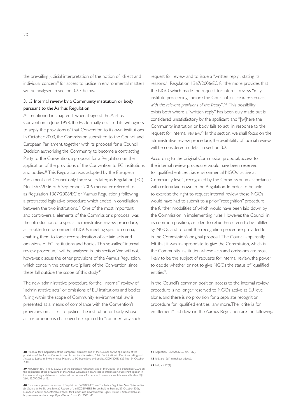the prevailing judicial interpretation of the notion of "direct and individual concern" for access to justice in environmental matters will be analysed in section 3.2.3 below.

#### 3.1.3 Internal review by a Community institution or body pursuant to the Aarhus Regulation

As mentioned in chapter 1, when it signed the Aarhus Convention in June 1998, the EC formally declared its willingness to apply the provisions of that Convention to its own institutions. In October 2003, the Commission submitted to the Council and European Parliament, together with its proposal for a Council Decision authorising the Community to become a contracting Party to the Convention, a proposal for a Regulation on the application of the provisions of the Convention to EC institutions and bodies.<sup>38</sup> This Regulation was adopted by the European Parliament and Council only three years later, as Regulation (EC) No 1367/2006 of 6 September 2006 (hereafter referred to as Regulation 1367/2006/EC or 'Aarhus Regulation') following a protracted legislative procedure which ended in conciliation between the two institutions.<sup>39</sup> One of the most important and controversial elements of the Commission's proposal was the introduction of a special administrative review procedure, accessible to environmental NGOs meeting specific criteria, enabling them to force reconsideration of certain acts and omissions of EC institutions and bodies. This so-called "internal review procedure" will be analysed in this section. We will not, however, discuss the other provisions of the Aarhus Regulation, which concern the other two 'pillars' of the Convention, since these fall outside the scope of this study.<sup>40</sup>

The new administrative procedure for the "internal" review of "administrative acts" or omissions of EU institutions and bodies falling within the scope of Community environmental law is presented as a means of compliance with the Convention's provisions on access to justice. The institution or body whose act or omission is challenged is required to "consider" any such request for review and to issue a "written reply", stating its reasons.41 Regulation 1367/2006/EC furthermore provides that the NGO which made the request for internal review "may institute proceedings before the Court of Justice *in accordance with the relevant provisions of the Treaty*".42 This possibility exists both where a "written reply" has been duly made but is considered unsatisfactory by the applicant, and "[w]here the Community institution or body fails to act" in response to the request for internal review.43 In this section, we shall focus on the administrative review procedure; the availability of judicial review will be considered in detail in section 3.2.

According to the original Commission proposal, access to the internal review procedure would have been reserved to "qualified entities", i.e. environmental NGOs"active at Community level", recognised by the Commission in accordance with criteria laid down in the Regulation. In order to be able to exercise the right to request internal review, these NGOs would have had to submit to a prior "recognition" procedure, the further modalities of which would have been laid down by the Commission in implementing rules. However, the Council, in its common position, decided to relax the criteria to be fulfilled by NGOs and to omit the recognition procedure provided for in the Commission's original proposal. The Council apparently felt that it was inappropriate to give the Commission, which is the Community institution whose acts and omissions are most likely to be the subject of requests for internal review, the power to decide whether or not to give NGOs the status of"qualified entities".

In the Council's common position, access to the internal review procedure is no longer reserved to NGOs active at EU level alone, and there is no provision for a separate recognition procedure for"qualified entities" any more.The "criteria for entitlement" laid down in the Aarhus Regulation are the following:

**43** Ibid., art. 12(2).

**<sup>38</sup>** Proposal for a Regulation of the European Parliament and of the Council on the application of the provisions of the Aarhus Convention on Access to Information, Public Participation in Decision-making and Access to Justice in Environmental Matters to EC institutions and bodies, COM(2003) 622 final, 24 October 2003.

**<sup>39</sup>** Regulation (EC) No 1367/2006 of the European Parliament and of the Council of 6 September 2006 on<br>the application of the provisions of the Aarhus Convention on Access to Information, Public Participation in<br>Decision-m 264 , 25.09.2006, p. 13.

**<sup>40</sup>** For a more general discussion of Regulation 1367/2006/EC, see *The Aarhus Regulation: New Opportunities*  for Citizens in the EU and Beyond? Report of the ECOSPHERE Forum held in Brussels, 27 October 2006,<br>European Centre on Sustainable Policies for Human and Environmental Rights, Brussels, 2007, available at<br>http://www.ecosph

**<sup>41</sup>** Regulation 1367/2006/EC, art. 10(2).

**<sup>42</sup>** Ibid., art.12(1) (emphasis added).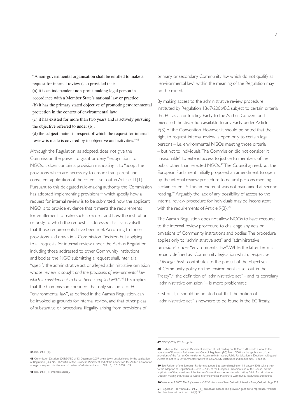"A non-governmental organisation shall be entitled to make a request for internal review (…) provided that: (a) it is an independent non-profit-making legal person in accordance with a Member State's national law or practice; (b) it has the primary stated objective of promoting environmental protection in the context of environmental law; (c) it has existed for more than two years and is actively pursuing the objective referred to under (b); (d) the subject matter in respect of which the request for internal

review is made is covered by its objective and activities."<sup>44</sup>

Although the Regulation, as adopted, does not give the Commission the power to grant or deny "recognition" to NGOs, it does contain a provision mandating it to "adopt the provisions which are necessary to ensure transparent and consistent application of the criteria" set out in Article 11(1). Pursuant to this delegated rule-making authority, the Commission has adopted implementing provisions,<sup>45</sup> which specify how a request for internal review is to be submitted, how the applicant NGO is to provide evidence that it meets the requirements for entitlement to make such a request and how the institution or body to which the request is addressed shall satisfy itself that those requirements have been met. According to those provisions, laid down in a Commission Decision but applying to all requests for internal review under the Aarhus Regulation, including those addressed to other Community institutions and bodies, the NGO submitting a request shall, inter alia, "specify the administrative act or alleged administrative omission whose review is sought *and the provisions of environmental law which it considers not to have been complied with*".46 This implies that the Commission considers that only violations of EC "environmental law", as defined in the Aarhus Regulation, can be invoked as grounds for internal review, and that other pleas of substantive or procedural illegality arising from provisions of

primary or secondary Community law which do not qualify as "environmental law" within the meaning of the Regulation may not be raised.

By making access to the administrative review procedure instituted by Regulation 1367/2006/EC subject to certain criteria, the EC, as a contracting Party to the Aarhus Convention, has exercised the discretion available to any Party under Article 9(3) of the Convention. However, it should be noted that the right to request internal review is open only to certain legal persons – i.e. environmental NGOs meeting those criteria – but not to individuals. The Commission did not consider it "reasonable" to extend access to justice to members of the public other than selected NGOs.<sup>47</sup> The Council agreed, but the European Parliament initially proposed an amendment to open up the internal review procedure to natural persons meeting certain criteria.<sup>48</sup> This amendment was not maintained at second reading.<sup>49</sup> Arguably, the lack of any possibility of access to the internal review procedure for individuals may be inconsistent with the requirements of Article  $9(3).50$ 

The Aarhus Regulation does not allow NGOs to have recourse to the internal review procedure to challenge any acts or omissions of Community institutions and bodies. The procedure applies only to "administrative acts" and "administrative omissions" under "environmental law". While the latter term is broadly defined as"Community legislation which, *irrespective of its legal basis*, contributes to the pursuit of the objectives of Community policy on the environment as set out in the Treaty",<sup>51</sup> the definition of "administrative act" – and its corrolary "administrative omission" – is more problematic.

First of all, it should be pointed out that the notion of "administrative act" is nowhere to be found in the EC Treaty.

**46** *Ibid*., art. 1(1) (emphasis added).

**<sup>44</sup>** *Ibid*., art. 11(1).

**<sup>45</sup>** Commission Decision 2008/50/EC of 13 December 2007 laying down detailed rules for the application of Regulation (EC) No 1367/2006 of the European Parliament and of the Council on the Aarhus Convention as regards requests for the internal review of administrative acts, OJ L 13, 16.01.2008, p. 24.

**<sup>47</sup>** COM(2003) 622 final, p. 16.

**<sup>48</sup>** Position of the European Parliament adopted at first reading on 31 March 2004 with a view to the<br>adoption of European Parliament and Council Regulation (EC) No ..../2004 on the application of the<br>provisions of the Aar Access to Justice in Environmental Matters to Community institutions and bodies, arts. 13 and 15.

**<sup>49</sup>** See Position of the European Parliament adopted at second reading on 18 January 2006 with a view to the adoption of Regulation (EC) No .../2006 of the European Parliament and of the Council on the<br>application of the provisions of the Aarhus Convention on Access to Information, Public Participation in<br>Decision-making a

**<sup>50</sup>** Wenneras, P. 2007. *The Enforcement of EC Environmental Law*. Oxford University Press, Oxford, UK, p. 228.

**<sup>51</sup>** Regulation 1367/2006/EC, art. 2(1)(f) (emphasis added). This provision goes on to reproduce, *verbatim*, the objectives set out in art. 174(1) EC.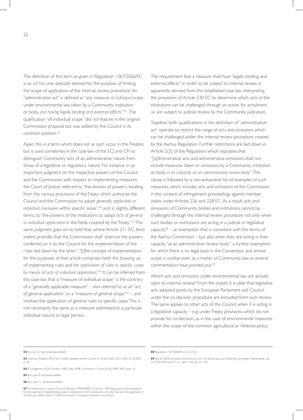The definition of this term as given in Regulation 1367/2006/EC is an *ad hoc* one, specially devised for the purpose of limiting the scope of application of the internal review procedure. An "administrative act"is defined as"any measure *of individual scope* under environmental law, taken by a Community institution or body, *and having legally binding and external effects.*"52 The qualification "of individual scope" did not feature in the original Commission proposal but was added by the Council in its common position.<sup>53</sup>

Again, this is a term which does not as such occur in the Treaties, but is used sometimes in the case-law of the ECJ and CFI to distinguish Community acts of an administrative nature from those of a legislative or regulatory nature. For instance, in an important judgment on the respective powers of the Council and the Commission with respect to implementing measures, the Court of Justice referred to "the division of powers resulting from the various provisions of theTreaty which authorize the Council and the Commission to adopt *generally applicable or*  individual measures within specific areas",<sup>54</sup> and, in slightly different terms, to "the powers of the institutions to adopt *acts of general or individual application* in the fields covered by theTreaty".55 The same judgment goes on to hold that, where Article 211 EC, third indent, provides that the Commission shall "exercise the powers conferred on it by the Council for the implementation of the rules laid down by the latter", "[t]he concept of implementation for the purposes of that article comprises both the drawing up of implementing rules and *the application of rules to specific cases by means of acts of individual application*."56 It can be inferred from this case-law that a "measure of individual scope" is the contrary of a "generally applicable measure" – also referred to as an "act of general application" or a "measure of general scope"<sup>57</sup> – and involves the application of general rules to specific cases.This is not necessarily the same as a measure addressed to a particular individual natural or legal person.

The requirement that a measure shall have "legally binding and external effects" in order to be subject to internal review is apparently derived from the established case-law interpreting the provisions of Article 230 EC to determine which acts of the institutions can be challenged through an action for annulment, i.e. are subject to judicial review by the Community judicature.

Together, both qualifications in the definition of"administrative act" operate to restrict the range of acts and omissions which can be challenged under the internal review procedure created by the Aarhus Regulation. Further restrictions are laid down in Article 2(2) of the Regulation, which stipulates that "[a]dministrative acts and administrative omissions shall not include measures taken or omissions by a Community institution or body *in its capacity as an administrative review body*". This clause is followed by a non-exhaustive list of examples of such measures, which includes acts and omissions of the Commission in the context of infringement proceedings against member states under Articles 226 and 228 EC. As a result, acts and omissions of Community bodies and institutions cannot be challenged through the internal review procedure not only when such bodies or institutions are acting in a judicial or legislative capacity $58 -$  an exemption that is consistent with the terms of the Aarhus Convention – but also when they are acting in their capacity "as an administrative review body", a further exemption for which there is no legal basis in the Convention and whose scope is unclear even as a matter of Community law, as several commentators have pointed out.59

Which acts and omissions under environmental law are actually open to internal review? From the outset, it is clear that legislative acts adopted jointly by the European Parliament and Council under the co-decision procedure are excluded from such review. The same applies to other acts of the Council when it is acting in a legislative capacity – e.g. under Treaty provisions which do not provide for co-decision, as in the case of environmental measures within the scope of the common agricultural or fisheries policy.

- **53** Common Position (EC) No 31/2005 adopted by the Council on 18 July 2005, OJ C 264E, 25.10.2005, p. 18.
- **54** ECJ Judgment of 24 October 1989, Case 16/88, *Commission v Council*, ECR [1989] 3457, para. 16.
- **55** *Ibid*., para. 9 (emphasis added).
- **56** *Ibid*., para. 11 (emphasis added).

**<sup>52</sup>** *Ibid*., art. 2(1)(g) (emphasis added).

**<sup>57</sup>** The latter term is used in Council Decision 1999/468/EC of 28 June 1999 laying down the procedures<br>for the exercise of implementing powers conferred on the Commission, art. 2(b). See also ECJ Judgment of<br>23 February 2

**<sup>58</sup>** Regulation 1367/2006/EC, art. 2(1)(c).

**<sup>59</sup>** Jans, JH. 2008. *European Environmental Law*. 3rd ed. Europa Law Publishing, Groningen, Netherlands, pp. 215-216; Wenneras, P. , *o.c., supra* n. 50, pp. 231-232.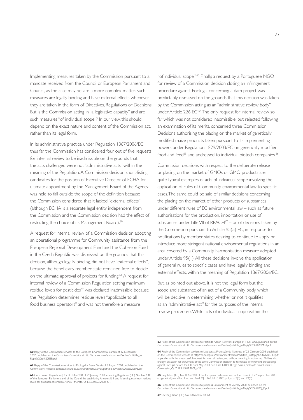Implementing measures taken by the Commission pursuant to a mandate received from the Council or European Parliament and Council, as the case may be, are a more complex matter. Such measures are legally binding and have external effects whenever they are taken in the form of Directives, Regulations or Decisions. But is the Commission acting in "a legislative capacity" and are such measures "of individual scope"? In our view, this should depend on the exact nature and content of the Commission act, rather than its legal form.

In its administrative practice under Regulation 1367/2006/EC thus far, the Commission has considered four out of five requests for internal review to be inadmissible on the grounds that the acts challenged were not "administrative acts" within the meaning of the Regulation. A Commission decision short-listing candidates for the position of Executive Director of ECHA for ultimate appointment by the Management Board of the Agency was held to fall outside the scope of the definition because the Commission considered that it lacked "external effects" (although ECHA is a separate legal entity independent from the Commission and the Commission decision had the effect of restricting the choice of its Management Board).<sup>60</sup>

A request for internal review of a Commission decision adopting an operational programme for Community assistance from the European Regional Development Fund and the Cohesion Fund in the Czech Republic was dismissed on the grounds that this decision, although legally binding, did not have "external effects", because the beneficiary member state remained free to decide on the ultimate approval of projects for funding.<sup>61</sup> A request for internal review of a Commission Regulation setting maximum residue levels for pesticides<sup>62</sup> was declared inadmissible because the Regulation determines residue levels "applicable to all food business operators" and was not therefore a measure

"of individual scope".<sup>63</sup> Finally, a request by a Portuguese NGO for review of a Commission decision closing an infringement procedure against Portugal concerning a dam project was predictably dismissed on the grounds that this decision was taken by the Commission acting as an "administrative review body" under Article 226 EC.<sup>64</sup> The only request for internal review so far which was not considered inadmissible, but rejected following an examination of its merits, concerned three Commission Decisions authorising the placing on the market of genetically modified maize products taken pursuant to its implementing powers under Regulation 1829/2003/EC on genetically modified food and feed<sup>65</sup> and addressed to individual biotech companies.<sup>66</sup>

Commission decisions with respect to the deliberate release or placing on the market of GMOs or GMO products are quite typical examples of acts of individual scope involving the application of rules of Community environmental law to specific cases. The same could be said of similar decisions concerning the placing on the market of other products or substances under different rules of EC environmental law – such as future authorisations for the production, importation or use of substances under Title VII of  $REACH^{67} -$  or of decisions taken by the Commission pursuant to Article 95(5) EC, in response to notifications by member states desiring to continue to apply or introduce more stringent national environmental regulations in an area covered by a Community harmonisation measure adopted under Article 95(1). All these decisions involve the application of general rules to specific cases and have legally binding and external effects, within the meaning of Regulation 1367/2006/EC.

But, as pointed out above, it is not the legal form but the scope and substance of an act of a Community body which will be decisive in determining whether or not it qualifies as an "administrative act" for the purposes of the internal review procedure. While acts of individual scope within the

**<sup>60</sup>** Reply of the Commission services to the European Environmental Bureau of 12 December 2007, published on the Commission's website at http://ec.europa.eu/environment/aarhus/pdf/title\_iv/ Reply%20to%20EEB.pdf

**<sup>61</sup>** Reply of the Commission services to Ekologicky Pravni Servis of 6 August 2008, published on the sion's website at http://ec.europa.eu/environment/aarhus/pdf/title\_iv/Reply%20to%20EPS.pdf

**<sup>62</sup>** Commission Regulation (EC) No 149/2008 of 29 January 2008 amending Regulation (EC) No 396/2005<br>of the European Parliament and of the Council by establishing Annexes II, III and IV setting maximum residue of the European Parliament and of the Council by establishing Annexes II, III and IV setting maximum residue levels for products covered by Annex I thereto, OJ L 58, 01.03.2008, p. 1.

**<sup>63</sup>** Reply of the Commission services to Pesticide Action Network Europe of 1 July 2008, published on the .<br>csion's website at http://ec.europa.eu/environment/aarhus/pdf/title\_iv/Reply%20to%20PAN.pdf

**<sup>64</sup>** Reply of the Commission services to Liga para a Protecção da Natureza of 23 October 2008, published on the Commission's website at http://ec.europa.eu/environment/aarhus/pdf/title\_iv/Reply%20to%20LPN.pdf.<br>In parallel with this unsuccessful request for internal review, and without awaiting its outcome, LPN has also<br>brough against Portugal before the CFI on 9 May 2008. See Case T-186/08, *Liga para a protecção da natureza v Commission*, OJ C 183, 19.07.2008, p.25.

**<sup>65</sup>** Regulation (EC) No 1829/2003 of the European Parliament and of the Council of 22 September 2003<br>on genetically modified food and feed, OJ L 268, 18.10.2003, p 1, arts. 7(3) and 19(3).

**<sup>66</sup>** Reply of the Commission services to Justice & Environment of 26 May 2008, published on the Commission's website at http://ec.europa.eu/environment/aarhus/pdf/title\_iv/Reply%20to%20J\_E.pdf

**<sup>67</sup>** See Regulation (EC) No 1907/2006, art. 64.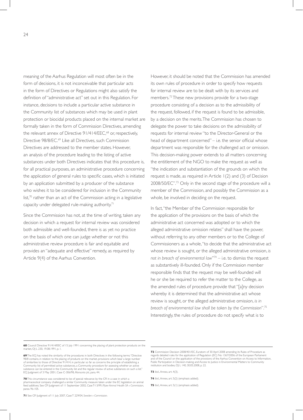meaning of the Aarhus Regulation will most often be in the form of decisions, it is not inconceivable that particular acts in the form of Directives or Regulations might also satisfy the definition of "administrative act" set out in this Regulation. For instance, decisions to include a particular active substance in the Community list of substances which may be used in plant protection or biocidal products placed on the internal market are formally taken in the form of Commission Directives, amending the relevant annex of Directive 91/414/EEC,<sup>68</sup> or, respectively, Directive 98/8/EC.<sup>69</sup> Like all Directives, such Commission Directives are addressed to the member states. However, an analysis of the procedure leading to the listing of active substances under both Directives indicates that this procedure is, for all practical purposes, an administrative procedure concerning the application of general rules to specific cases, which is initiated by an application submitted by a producer of the substance who wishes it to be considered for inclusion in the Community list, $70$  rather than an act of the Commission acting in a legislative capacity under delegated rule-making authority.<sup>71</sup>

Since the Commission has not, at the time of writing, taken any decision in which a request for internal review was considered both admissible and well-founded, there is as yet no practice on the basis of which one can judge whether or not this administrative review procedure is fair and equitable and provides an "adequate and effective" remedy, as required by Article 9(4) of the Aarhus Convention.

However, it should be noted that the Commission has amended its own rules of procedure in order to specify how requests for internal review are to be dealt with by its services and members.72 These new provisions provide for a two-stage procedure consisting of a decision as to the admissibility of the request, followed, if the request is found to be admissible, by a decision on the merits. The Commission has chosen to delegate the power to take decisions on the admissibility of requests for internal review "to the Director-General or the head of department concerned" – i.e. the senior official whose department was responsible for the challenged act or omission. This decision-making power extends to all matters concerning the entitlement of the NGO to make the request as well as "the indication and substantiation of the grounds on which the request is made, as required in Article 1(2) and (3) of Decision 2008/50/EC".73 Only in the second stage of the procedure will a member of the Commission, and possibly the Commission as a whole, be involved in deciding on the request.

In fact, "the Member of the Commission responsible for the application of the provisions on the basis of which the administrative act concerned was adopted or to which the alleged administrative omission relates" shall have the power, without referring to any other members or to the College of Commissioners as a whole, "to decide that the administrative act whose review is sought, or the alleged administrative omission, *is not in breach of environmental law*"74 – i.e. to dismiss the request as substantively ill-founded. Only if the Commission member responsible finds that the request may be well-founded will he or she be required to refer the matter to the College, as the amended rules of procedure provide that "[a]ny decision whereby it is determined that the administrative act whose review is sought, or the alleged administrative omission, *is in breach of environmental law shall be taken by the Commission*".75 Interestingly, the rules of procedure do not specify what is to

**70** This circumstance was considered to be of special relevance by the CFI in a case in which a pharmaceutical company challenged a similar Community measure taken under the EC legislation on animal feed additives. See CFI Judgment of 11 September 2002, Case T-13/99, *Pfizer Animal Health SA v Commission*, paras. 96-105.

**72** Commission Decision 2008/401/EC, Euratom of 30 April 2008 amending its Rules of Procedure as<br>regards detailed rules for the application of Regulation (EC) No 1367/2006 of the European Parliament<br>and of the Council on

**73** *Ibid*., Annex, art. 4(3).

**71** See CFI Judgment of 11 July 2007, Case T 229/04, *Sweden v Commission.*

**<sup>68</sup>** Council Directive 91/414/EEC of 15 July 1991 concerning the placing of plant protection products on the<br>market, OJ L 230, 19.08.1991, p. I.

**<sup>69</sup>** The ECJ has noted the similarity of the procedures in both Directives in the following terms: "Directive 98/8 contains, in relation to the placing of products on the market, provisions which bear a large number of similarities to those of Directive 91/414, in particular so far as concerns the principle of establishing a Community list of permitted active substances, a Community procedure for assessing whether an active substance can be entered in the Community list and the regular review of active substances on such a list." ECJ Judgment of 3 May 2001, Case C-306/98, *Monsanto plc*, para. 44.

**<sup>74</sup>** *Ibid*., Annex, art. 5(2) (emphasis added).

**<sup>75</sup>** *Ibid*., Annex, art. 5(1) (emphasis added).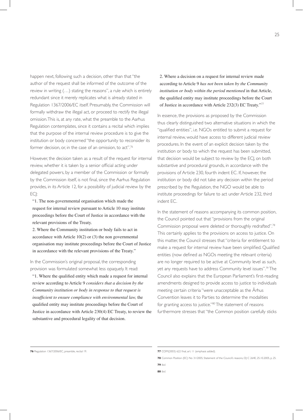happen next, following such a decision, other than that "the author of the request shall be informed of the outcome of the review in writing (…) stating the reasons", a rule which is entirely redundant since it merely replicates what is already stated in Regulation 1367/2006/EC itself. Presumably, the Commission will formally withdraw the illegal act, or proceed to rectify the illegal omission. This is, at any rate, what the preamble to the Aarhus Regulation contemplates, since it contains a recital which implies that the purpose of the internal review procedure is to give the institution or body concerned "the opportunity to reconsider its former decision, or, in the case of an omission, to act".<sup>76</sup>

However, the decision taken as a result of the request for internal review, whether it is taken by a senior official acting under delegated powers, by a member of the Commission or formally by the Commission itself, is not final, since the Aarhus Regulation provides, in its Article 12, for a possibility of judicial review by the ECJ:

 "1. The non-governmental organisation which made the request for internal review pursuant to Article 10 may institute proceedings before the Court of Justice in accordance with the relevant provisions of the Treaty.

 2. Where the Community institution or body fails to act in accordance with Article 10(2) or (3) the non governmental organisation may institute proceedings before the Court of Justice in accordance with the relevant provisions of the Treaty."

In the Commission's original proposal, the corresponding provision was formulated somewhat less opaquely. It read:

 "1. Where the qualified entity which made a request for internal review according to Article 9 *considers that a decision by the Community institution or body in response to that request is insufficient to ensure compliance with environmental law,* the qualified entity may institute proceedings before the Court of Justice in accordance with Article 230(4) EC Treaty, to review the substantive and procedural legality of that decision.

 2. Where a decision on a request for internal review made according to Article 9 *has not been taken by the Community institution or body within the period mentioned* in that Article, the qualified entity may institute proceedings before the Court of Justice in accordance with Article 232(3) EC Treaty."<sup>77</sup>

In essence, the provisions as proposed by the Commission thus clearly distinguished two alternative situations in which the "qualified entities", i.e. NGOs entitled to submit a request for internal review, would have access to different judicial review procedures. In the event of an explicit decision taken by the institution or body to which the request has been submitted, that decision would be subject to review by the ECJ, on both substantive and procedural grounds, in accordance with the provisions of Article 230, fourth indent EC. If, however, the institution or body did not take any decision within the period prescribed by the Regulation, the NGO would be able to institute proceedings for failure to act under Article 232, third indent EC.

In the statement of reasons accompanying its common position, the Council pointed out that "provisions from the original Commission proposal were deleted or thoroughly redrafted".78 This certainly applies to the provisions on access to justice. On this matter, the Council stresses that "criteria for entitlement to make a request for internal review have been simplified. Qualified entities (now defined as NGOs meeting the relevant criteria) are no longer required to be active at Community level as such, yet any requests have to address Community level issues".<sup>79</sup> The Council also explains that the European Parliament's first-reading amendments designed to provide access to justice to individuals meeting certain criteria "were unacceptable as the Århus Convention leaves it to Parties to determine the modalities for granting access to justice."80 The statement of reasons furthermore stresses that "the Common position carefully sticks

**80** *Ibid.*

**<sup>76</sup>** Regulation 1367/2006/EC, preamble, recital 19. *Properties added*). **77** COM(2003) 622 final, art. 11 (emphasis added).

**<sup>78</sup>** Common Position (EC) No 31/2005, Statement of the Council's reasons, OJ C 264E, 25.10.2005, p. 25.

**<sup>79</sup>** *Ibid.*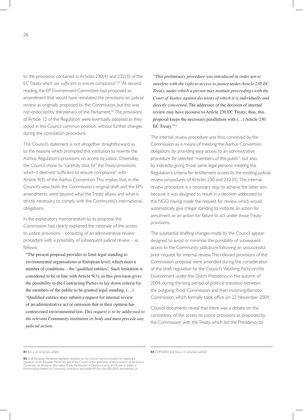to the provisions contained in Articles 230(4) and 232(3) of the EC Treaty, *which are sufficient to ensure compliance*".81 At second reading, the EP Environment Committee had proposed an amendment that would have reinstated the provisions on judicial review as originally proposed by the Commission, but this was not endorsed by the plenary of the Parliament.<sup>82</sup> The provisions of Article 12 of the Regulation were eventually adopted as they stood in the Council common position, without further changes during the conciliation procedure.

The Council's statement is not altogether straightforward as to the reasons which prompted this institution to rewrite the Aarhus Regulation's provisions on access to justice. Ostensibly, the Council chose to "carefully stick to" the Treaty provisions which it deemed "sufficient to ensure compliance" with Article 9(3) of the Aarhus Convention. This implies that, in the Council's view, both the Commission's original draft and the EP's amendments went beyond what the Treaty allows and what is strictly necessary to comply with the Community's international obligations.

In the explanatory memorandum to its proposal, the Commission had clearly explained the rationale of the access to justice provisions – consisting of an administrative review procedure with a possibility of subsequent judicial review – as follows:

 "The present proposal provides to limit legal standing to environmental organisations at European level, which meet a number of conditions – the 'qualified entities'. Such limitation is considered to be in line with Article 9(3), as this provision gives the possibility to the Contracting Parties to lay down criteria for the members of the public to be granted legal standing. (…) "Qualified entities may submit a request for internal review of an administrative act or omission that in their opinion has contravened environmental law. *This request is to be addressed to the relevant Community institution or body and must precede any judicial action.*

 *"This preliminary procedure was introduced in order not to interfere with the right to access to justice under Article 230 EC Treaty, under which a person may institute proceedings with the Court of Justice against decisions of which it is individually and directly concerned.* The addressee of the decision of internal review may have recourse to Article 230 EC Treaty; thus, this proposal keeps the necessary parallelism with (…) Article 230 EC Treaty."83

The internal review procedure was thus conceived by the Commission as a means of meeting the Aarhus Convention obligations by providing easy access to an administrative procedure for selected "members of the public", but also, by indirectly giving those same legal persons meeting the Regulation's criteria for entitlement access to the existing judicial review procedures of Articles 230 and 232 EC. The internal review procedure is a necessary step to achieve the latter aim, because it was designed to result in a decision addressed to the NGO having made the request for review, which would automatically give it legal standing to institute an action for annulment or an action for failure to act under those Treaty provisions.

The substantial drafting changes made by the Council appear designed to avoid or minimise the possibility of subsequent access to the Community judicature following an unsuccessful prior request for internal review. The relevant provisions of the Commission proposal were amended during the consideration of the draft regulation by the Council's Working Party on the Environment under the Dutch Presidency in the autumn of 2004, during the long period of political transition between the outgoing Prodi Commission and then incoming Barroso Commission, which formally took office on 22 November 2004.

Council documents reveal that there was a debate on the consistency of the access to justice provisions as proposed by the Commission with the Treaty, which led the Presidency to

**83** COM(2003) 622 final, p. 16 (emphasis added).

**<sup>81</sup>** *Ibid*., p. 26 (emphasis added).

**<sup>82</sup>** Draft European Parliament legislative resolution on the Council common position for adopting a<br>regulation of the European Parliament and of the Council on the application of the provisions of the Aarhus<br>Convention on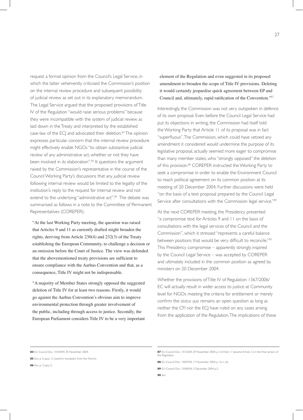request a formal opinion from the Council's Legal Service, in which the latter vehemently criticised the Commission's position on the internal review procedure and subsequent possibility of judicial review as set out in its explanatory memorandum. The Legal Service argued that the proposed provisions of Title IV of the Regulation "would raise serious problems" because they were incompatible with the system of judicial review as laid down in the Treaty and interpreted by the established case-law of the ECJ and advocated their deletion.<sup>84</sup> The opinion expresses particular concern that the internal review procedure might effectively enable NGOs "to obtain substantive judicial review of any administrative act, whether or not they have been involved in its elaboration".<sup>85</sup> It questions the argument raised by the Commission's representative in the course of the Council Working Party's discussions that any judicial review following internal review would be limited to the legality of the institution's reply to the request for internal review and not extend to the underlying "administrative act".<sup>86</sup> The debate was summarised as follows in a note to the Committee of Permanent Representatives (COREPER):

 "At the last Working Party meeting, the question was raised that Articles 9 and 11 as currently drafted might broaden the rights, deriving from Article 230(4) and 232(3) of the Treaty establishing the European Community, to challenge a decision or an omission before the Court of Justice. The view was defended that the abovementioned treaty provisions are sufficient to ensure compliance with the Aarhus Convention and that, as a consequence, Title IV might not be indispensable.

 "A majority of Member States strongly opposed the suggested deletion of Title IV for at least two reasons. Firstly, it would go against the Aarhus Convention's obvious aim to improve environmental protection through greater involvement of the public, including through access to justice. Secondly, the European Parliament considers Title IV to be a very important

element of the Regulation and even suggested in its proposed amendment to broaden the scope of Title IV provisions. Deleting it would certainly jeopardise quick agreement between EP and Council and, ultimately, rapid ratification of the Convention."<sup>87</sup>

Interestingly, the Commission was not very outspoken in defence of its own proposal. Even before the Council Legal Service had put its objections in writing, the Commission had itself told the Working Party that Article 11 of its proposal was in fact "superfluous".The Commission, which could have vetoed any amendment it considered would undermine the purpose of its legislative proposal, actually seemed more eager to compromise than many member states, who "strongly opposed" the deletion of this provision.<sup>88</sup> COREPER instructed the Working Party to seek a compromise in order to enable the Environment Council to reach political agreement on its common position at its meeting of 20 December 2004. Further discussions were held "on the basis of a text proposal prepared by the Council Legal Service after consultations with the Commission legal service."<sup>89</sup>

At the next COREPER meeting, the Presidency presented "a compromise text for Articles 9 and 11 on the basis of consultations with the legal services of the Council and the Commission", which it stressed "represents a careful balance between positions that would be very difficult to reconcile."<sup>90</sup> This Presidency compromise – apparently strongly inspired by the Council Legal Service – was accepted by COREPER and ultimately included in the common position as agreed by ministers on 20 December 2004.

Whether the provisions of Title IV of Regulation 1367/2006/ EC will actually result in wider access to justice at Community level for NGOs meeting the criteria for entitlement or merely confirm the *status quo* remains an open question as long as neither the CFI nor the ECJ have ruled on any cases arising from the application of the Regulation. The implications of these

**<sup>84</sup>** EU Council Doc. 15434/04, 30 November 2004.

**<sup>85</sup>** *Ibid*., p. 5, para. 12 (author's translation from the French).

**<sup>86</sup>** *Ibid*., p. 3, para. 5.

**<sup>87</sup>** EU Council Doc. 15153/04, 29 November 2004, p. 3. Article 11 became Article 12 in the final version of the Regulation.

**<sup>88</sup>** EU Council Doc. 14587/04, 17 November 2004, p. 16, n. 26.

**<sup>89</sup>** EU Council Doc. 15540/04, 3 December 2004, p.2.

**<sup>90</sup>** *Ibid*.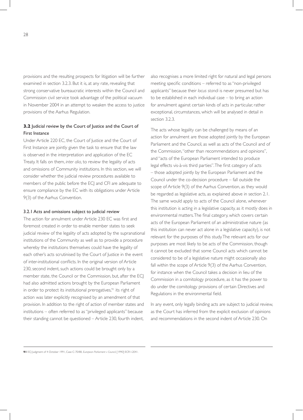provisions and the resulting prospects for litigation will be further examined in section 3.2.3. But it is, at any rate, revealing that strong conservative bureaucratic interests within the Council and Commission civil service took advantage of the political vacuum in November 2004 in an attempt to weaken the access to justice provisions of the Aarhus Regulation.

## **3.2** Judicial review by the Court of Justice and the Court of First Instance

Under Article 220 EC, the Court of Justice and the Court of First Instance are jointly given the task to ensure that the law is observed in the interpretation and application of the EC Treaty. It falls on them, *inter alia*, to review the legality of acts and omissions of Community institutions. In this section, we will consider whether the judicial review procedures available to members of the public before the ECJ and CFI are adequate to ensure compliance by the EC with its obligations under Article 9(3) of the Aarhus Convention.

#### 3.2.1 Acts and omissions subject to judicial review

The action for annulment under Article 230 EC was first and foremost created in order to enable member states to seek judicial review of the legality of acts adopted by the supranational institutions of the Community as well as to provide a procedure whereby the institutions themselves could have the legality of each other's acts scrutinised by the Court of Justice in the event of inter-institutional conflicts. In the original version of Article 230, second indent, such actions could be brought only by a member state, the Council or the Commission, but, after the ECJ had also admitted actions brought by the European Parliament in order to protect its institutional prerogatives,<sup>91</sup> its right of action was later explicitly recognised by an amendment of that provision. In addition to the right of action of member states and institutions – often referred to as "privileged applicants" because their standing cannot be questioned – Article 230, fourth indent,

also recognises a more limited right for natural and legal persons meeting specific conditions – referred to as"non-privileged applicants" because their *locus standi* is never presumed but has to be established in each individual case – to bring an action for annulment against certain kinds of acts in particular, rather exceptional, circumstances, which will be analysed in detail in section 3.2.3.

The acts whose legality can be challenged by means of an action for annulment are those adopted jointly by the European Parliament and the Council, as well as acts of the Council and of the Commission, "other than recommendations and opinions", and "acts of the European Parliament intended to produce legal effects vis-à-vis third parties". The first category of acts – those adopted jointly by the European Parliament and the Council under the co-decision procedure – fall outside the scope of Article 9(3) of the Aarhus Convention, as they would be regarded as legislative acts, as explained above in section 2.1. The same would apply to acts of the Council alone, whenever this institution is acting in a legislative capacity, as it mostly does in environmental matters. The final category, which covers certain acts of the European Parliament of an administrative nature (as this institution can never act alone in a legislative capacity), is not relevant for the purposes of this study. The relevant acts for our purposes are most likely to be acts of the Commission, though it cannot be excluded that some Council acts which cannot be considered to be of a legislative nature might occasionally also fall within the scope of Article 9(3) of the Aarhus Convention, for instance when the Council takes a decision in lieu of the Commission in a comitology procedure, as it has the power to do under the comitology provisions of certain Directives and Regulations in the environmental field.

In any event, only legally binding acts are subject to judicial review, as the Court has inferred from the explicit exclusion of opinions and recommendations in the second indent of Article 230. On

**91** ECJ Judgment of 4 October 1991, Case C-70/88, *European Parliament v Council*, [1990] ECR I-2041.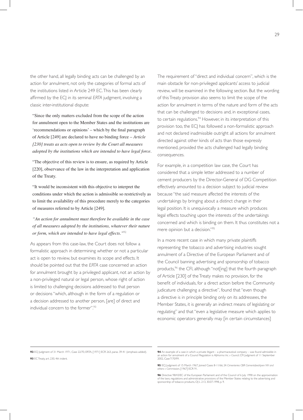the other hand, all legally binding acts can be challenged by an action for annulment, not only the categories of formal acts of the institutions listed in Article 249 EC. This has been clearly affirmed by the ECJ in its seminal *ERTA* judgment, involving a classic inter-institutional dispute:

 "Since the only matters excluded from the scope of the action for annulment open to the Member States and the institutions are 'recommendations or opinions' – which by the final paragraph of Article [249] are declared to have no binding force – *Article [230] treats as acts open to review by the Court all measures adopted by the institutions which are intended to have legal force.* 

 "The objective of this review is to ensure, as required by Article [220], observance of the law in the interpretation and application of the Treaty.

 "It would be inconsistent with this objective to interpret the conditions under which the action is admissible so restrictively as to limit the availability of this procedure merely to the categories of measures referred to by Article [249].

 *"An action for annulment must therefore be available in the case of all measures adopted by the institutions, whatever their nature or form, which are intended to have legal effects."*<sup>92</sup>

As appears from this case-law, the Court does not follow a formalistic approach in determining whether or not a particular act is open to review, but examines its scope and effects. It should be pointed out that the *ERTA* case concerned an action for annulment brought by a privileged applicant, not an action by a non-privileged natural or legal person, whose right of action is limited to challenging decisions addressed to that person or decisions "which, although in the form of a regulation or a decision addressed to another person, [are] of direct and individual concern to the former".<sup>93</sup>

The requirement of "direct and individual concern", which is the main obstacle for non-privileged applicants' access to judicial review, will be examined in the following section. But the wording of this Treaty provision also seems to limit the scope of the action for annulment in terms of the nature and form of the acts that can be challenged to decisions and, in exceptional cases, to certain regulations.<sup>94</sup> However, in its interpretation of this provision too, the ECJ has followed a non-formalistic approach and not declared inadmissible outright all actions for annulment directed against other kinds of acts than those expressly mentioned, provided the acts challenged had legally binding consequences.

For example, in a competition law case, the Court has considered that a simple letter addressed to a number of cement producers by the Director-General of DG Competition effectively amounted to a decision subject to judicial review because "the said measure affected the interests of the undertakings by bringing about a distinct change in their legal position. It is unequivocally a measure which produces legal effects touching upon the interests of the undertakings concerned and which is binding on them. It thus constitutes not a mere opinion but a decision."95

In a more recent case in which many private plaintiffs representing the tobacco and advertising industries sought annulment of a Directive of the European Parliament and of the Council banning advertising and sponsorship of tobacco products,<sup>96</sup> the CFI, although "not[ing] that the fourth paragraph of Article [230] of the Treaty makes no provision, for the benefit of individuals, for a direct action before the Community judicature challenging a directive", found that "even though a directive is in principle binding only on its addressees, the Member States, it is generally an indirect means of legislating or regulating" and that "even a legislative measure which applies to economic operators generally may [in certain circumstances]

**92** ECJ Judgment of 31 March 1971, Case 22/70, ERTA, [1971] ECR 263, paras. 39-41 (emphasis added).

**93** EC Treaty, art. 230, 4th indent.

**<sup>94</sup>** An example of a case in which a private litigant – a pharmaceutical company – was found admissible in an action for annulment of a Council Regulation is *Alpharma Inc. v Council*, CFI Judgment of 11 September 2002, Case T-70/99.

**<sup>95</sup>** ECJ Judgment of 15 March 1967, Joined Cases 8-11/66, *SA Cimenteries CBR Cementsbedrijven NV and others v Commission*, [1967] ECR 91.

**<sup>96</sup>** Directive 98/43/EC of the European Parliament and of the Council of 6 July 1998 on the approximation of the laws, regulations and administrative provisions of the Member States relating to the advertising and sponsorship of tobacco products, OJ L 213, 30.07.1998, p. 9.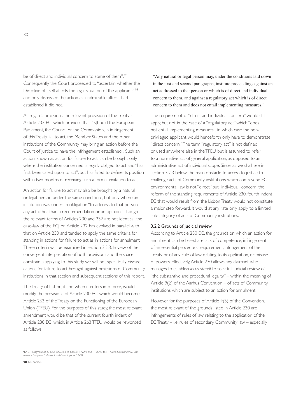be of direct and individual concern to some of them".97 Consequently, the Court proceeded to "ascertain whether the Directive of itself affects the legal situation of the applicants"98 and only dismissed the action as inadmissible after it had established it did not.

As regards omissions, the relevant provision of the Treaty is Article 232 EC, which provides that "[s]hould the European Parliament, the Council or the Commission, in infringement of this Treaty, fail to act, the Member States and the other institutions of the Community may bring an action before the Court of Justice to have the infringement established". Such an action, known as action for failure to act, can be brought only where the institution concerned is legally obliged to act and "has first been called upon to act", but has failed to define its position within two months of receiving such a formal invitation to act.

An action for failure to act may also be brought by a natural or legal person under the same conditions, but only where an institution was under an obligation "to address to that person any act other than a recommendation or an opinion". Though the relevant terms of Articles 230 and 232 are not identical, the case-law of the ECJ on Article 232 has evolved in parallel with that on Article 230 and tended to apply the same criteria for standing in actions for failure to act as in actions for annulment. These criteria will be examined in section 3.2.3. In view of the convergent interpretation of both provisions and the space constraints applying to this study, we will not specifically discuss actions for failure to act brought against omissions of Community institutions in that section and subsequent sections of this report.

The Treaty of Lisbon, if and when it enters into force, would modify the provisions of Article 230 EC, which would become Article 263 of the Treaty on the Functioning of the European Union (TFEU). For the purposes of this study, the most relevant amendment would be that of the current fourth indent of Article 230 EC, which, in Article 263 TFEU would be reworded as follows:

 "Any natural or legal person may, under the conditions laid down in the first and second paragraphs, institute proceedings against an act addressed to that person or which is of direct and individual concern to them, and against a regulatory act which is of direct concern to them and does not entail implementing measures."

The requirement of "direct and individual concern" would still apply, but not in the case of a "regulatory act" which "does not entail implementing measures", in which case the nonprivileged applicant would henceforth only have to demonstrate "direct concern". The term "regulatory act" is not defined or used anywhere else in the TFEU, but is assumed to refer to a normative act of general application, as opposed to an administrative act of individual scope. Since, as we shall see in section 3.2.3 below, the main obstacle to access to justice to challenge acts of Community institutions which contravene EC environmental law is not "direct" but "individual" concern, the reform of the standing requirements of Article 230, fourth indent EC that would result from the Lisbon Treaty would not constitute a major step forward. It would at any rate only apply to a limited sub-category of acts of Community institutions.

#### 3.2.2 Grounds of judicial review

According to Article 230 EC, the grounds on which an action for annulment can be based are lack of competence, infringement of an essential procedural requirement, infringement of the Treaty or of any rule of law relating to its application, or misuse of powers. Effectively, Article 230 allows any claimant who manages to establish *locus standi* to seek full judicial review of "the substantive and procedural legality" – within the meaning of Article 9(2) of the Aarhus Convention – of acts of Community institutions which are subject to an action for annulment.

However, for the purposes of Article 9(3) of the Convention, the most relevant of the grounds listed in Article 230 are infringements of rules of law relating to the application of the EC Treaty – i.e. rules of secondary Community law – especially

**<sup>97</sup>** CFI Judgment of 27 June 2000, Joined Cases T-172/98 and T-175/98 to T-177/98, *Salamander AG and others v European Parliament and Council*, paras. 27-30.

**<sup>98</sup>** *Ibid*., para.53.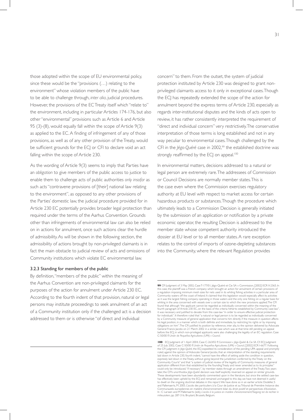those adopted within the scope of EU environmental policy, since these would be the "provisions (…) relating to the environment" whose violation members of the public have to be able to challenge through, *inter alia*, judicial procedures. However, the provisions of the EC Treaty itself which "relate to" the environment, including in particular Articles 174-176, but also other "environmental" provisions such as Article 6 and Article 95 (3)-(8), would equally fall within the scope of Article 9(3) as applied to the EC.A finding of infringement of any of those provisions, as well as of any other provision of the Treaty, would be sufficient grounds for the ECJ or CFI to declare void an act falling within the scope of Article 230.

As the wording of Article 9(3) seems to imply that Parties have an *obligation* to give members of the public access to justice to enable them to challenge acts of public authorities *only insofar* as such acts "contravene provisions of [their] national law relating to the environment", as opposed to any other provisions of the Parties' domestic law, the judicial procedure provided for in Article 230 EC potentially provides broader legal protection than required under the terms of the Aarhus Convention. Grounds other than infringements of environmental law can also be relied on in actions for annulment, once such actions clear the hurdle of admissibility. As will be shown in the following section, the admissibility of actions brought by non-privileged claimants is in fact the main obstacle to judicial review of acts and omissions of Community institutions which violate EC environmental law.

#### 3.2.3 Standing for members of the public

By definition,"members of the public" within the meaning of the Aarhus Convention are non-privileged claimants for the purposes of the action for annulment under Article 230 EC. According to the fourth indent of that provision, natural or legal persons may institute proceedings to seek annulment of an act of a Community institution only if the challenged act is a decision addressed to them or is otherwise "of direct and individual

concern" to them. From the outset, the system of judicial protection instituted by Article 230 was designed to grant nonprivileged claimants access to it only in exceptional cases. Though the ECJ has repeatedly extended the scope of the action for annulment beyond the express terms of Article 230, especially as regards inter-institutional disputes and the kinds of acts open to review, it has rather consistently interpreted the requirement of "direct and individual concern" very restrictively. The conservative interpretation of those terms is long established and not in any way peculiar to environmental cases. Though challenged by the CFI in the *Jégo-Quéré* case in 2002,<sup>99</sup> the established doctrine was strongly reaffirmed by the ECJ on appeal.<sup>100</sup>

In environmental matters, decisions addressed to a natural or legal person are extremely rare. The addressees of Commission or Council Decisions are normally member states. This is the case even where the Commission exercises regulatory authority at EU level with respect to market access for certain hazardous products or substances.Though the procedure which ultimately leads to a Commission Decision is generally initiated by the submission of an application or notification by a private economic operator, the resulting Decision is addressed to the member state whose competent authority introduced the dossier at EU level or to all member states. A rare exception relates to the control of imports of ozone-depleting substances into the Community, where the relevant Regulation provides

**<sup>99</sup>** CFI Judgment of 3 May 2002, CaseT-177/01, Jégo-Quéré et Cie SA v Commission, [2002] ECR II-2365. In this case, the plaintiff was a French company which brought an action for annulment of certain provisions of<br>a regulation imposing minimum mesh sizes for nets used in its whiting fishing activities in a particular area of Community waters off the coast of Ireland. It claimed that this legislation would especially affect its activities as it was the largest fishing company operating in those waters and the only one fishing on a regular basis for whiting in the area concerned with vessels over a cer tain size to which the new provisions applied.The CFI found that although ''the applicant cannot be regarded as individually concerned within the meaning of the<br>fourth paragraph of Article 230 EC, on the basis of the criteria hitherto established by Community case-law',<br>it wa for individuals". It therefore ruled that "a natural or legal person is to be regarded as individually concerned<br>by a Community measure of general application that concerns him directly if the measure in question affects<br>h obligations on him''.The CFI justified its position by reference, inter alia, to the opinion delivered by Advocate<br>General Francis Jacobs on 21 March 2002 in a similar case which was at that time still pending on appeal<br>be C-50/00 P, *Unión de Pequeños Agricultores (UPA) v Council.*

**<sup>100</sup>** ECJ Judgment of 1 April 2004, Case C-263/02 P, *Commission v Jégo-Quéré & Cie SA*. Cf. ECJ Judgment of 25 July 2002, Case C-50/00 P, Unión de Pequeños Agricultores (UPA) v Council, [2002] ECR I-6677. Following<br>the CFI judgment in Jégo-Quéré, the ECJ expedited its consideration of the pending UPA appeal and promptly<br>ruled laid down in Article 230, fourth indent, "cannot have the effect of setting aside the condition in question, expressly laid down in the Treaty, without going beyond the jurisdiction conferred by the Treaty on the Community Courts" and that "a system of judicial review of the legality of Community measures of general application different from that established by the founding Treaty and never amended as to its principles" could only has effectively been upheld by the ECJ and remained unchanged to this day, we have not deemed it useful to dwell on the ongoing doctrinal debates in this report. We have done so in an earlier article: Dodeller, S and Pallemaerts, M. 2005. L'accès des particuliers à la Cour de Justice et au Tribunal de Première Instance des Communautés européennes en matière d'environnement: bilan du droit positif et perspectives d'évolution.<br>In : C Larssen and M Pallemaerts (eds), L'accès à la justice en matière d'environnement/Toegang tot de rechter in<br>mili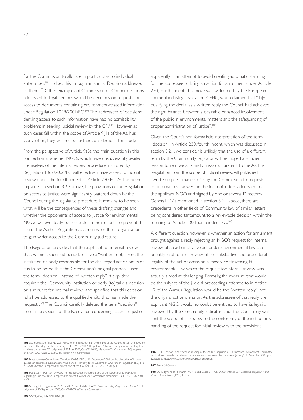for the Commission to allocate import quotas to individual enterprises.101 It does this through an annual Decision addressed to them.102 Other examples of Commission or Council decisions addressed to legal persons would be decisions on requests for access to documents containing environment-related information under Regulation 1049/2001/EC.<sup>103</sup> The addressees of decisions denying access to such information have had no admissibility problems in seeking judicial review by the CFI.<sup>104</sup> However, as such cases fall within the scope of Article 9(1) of the Aarhus Convention, they will not be further considered in this study.

From the perspective of Article 9(3), the main question in this connection is whether NGOs which have unsuccessfully availed themselves of the internal review procedure instituted by Regulation 1367/2006/EC will effectively have access to judicial review under the fourth indent of Article 230 EC. As has been explained in section 3.2.3 above, the provisions of this Regulation on access to justice were significantly watered down by the Council during the legislative procedure. It remains to be seen what will be the consequences of these drafting changes and whether the opponents of access to justice for environmental NGOs will eventually be successful in their efforts to prevent the use of the Aarhus Regulation as a means for these organisations to gain wider access to the Community judicature.

The Regulation provides that the applicant for internal review shall, within a specified period, receive a "written reply" from the institution or body responsible for the challenged act or omission. It is to be noted that the Commission's original proposal used the term "decision" instead of "written reply". It explicitly required the "Community institution or body [to] take a decision on a request for internal review" and specified that this decision "shall be addressed to the qualified entity that has made the request".<sup>105</sup> The Council carefully deleted the term "decision" from all provisions of the Regulation concerning access to justice,

apparently in an attempt to avoid creating automatic standing for the addressee to bring an action for annulment under Article 230, fourth indent. This move was welcomed by the European chemical industry association, CEFIC, which claimed that "[b]y qualifying the denial as a written reply, the Council had achieved the right balance between a desirable enhanced involvement of the public in environmental matters and the safeguarding of proper administration of justice".<sup>106</sup>

Given the Court's non-formalistic interpretation of the term "decision" in Article 230, fourth indent, which was discussed in section 3.2.1, we consider it unlikely that the use of a different term by the Community legislator will be judged a sufficient reason to remove acts and omissions pursuant to the Aarhus Regulation from the scope of judicial review. All published "written replies" made so far by the Commission to requests for internal review were in the form of letters addressed to the applicant NGO and signed by one or several Directors-General.<sup>107</sup> As mentioned in section 3.2.1 above, there are precedents in other fields of Community law of similar letters being considered tantamount to a reviewable decision within the meaning of Article 230, fourth indent EC.<sup>108</sup>

A different question, however, is whether an action for annulment brought against a reply rejecting an NGO's request for internal review of an administrative act under environmental law can possibly lead to a full review of the substantive and procedural legality of the act or omission allegedly contravening EC environmental law which the request for internal review was actually aimed at challenging. Formally, the measure that would be the subject of the judicial proceedings referred to in Article 12 of the Aarhus Regulation would be the "written reply", not the original act or omission. As the addressee of that reply, the applicant NGO would no doubt be entitled to have its legality reviewed by the Community judicature, but the Court may well limit the scope of its review to the conformity of the institution's handling of the request for initial review with the provisions

**107** See n. 60-64 *supra*.

**<sup>101</sup>** See Regulation (EC) No 2037/2000 of the European Parliament and of the Council of 29 June 2000 on substances that deplete the ozone layer, OJ L 244, 29.09.2000, p. 1, ar t. 7. For an example of recent litigation on these quotas see CFI Judgment of 22 May 2007, Case T-216/05, *Mebrom NV v Commission*; ECJ Judgment of 2 April 2009, Case C 373/07 P, *Mebrom NV v Commission.*

<sup>102</sup> Most recently Commission Decision 2009/51/EC of 15 December 2008 on the allocation of import<br>quotas for controlled substances for the period 1 January to 31 December 2009 under Regulation (EC) No<br>2037/2000 of the Europ

**<sup>103</sup>** Regulation (EC) No 1049/2001 of the European Parliament and of the Council of 30 May 2001 regarding public access to European Parliament, Council and Commission documents, OJ L 145, 31.05.2001, p. 43.

**<sup>104</sup>** See e.g. CFI Judgment of 25 April 2007, Case T-264/04, *WWF European Policy Programme v Council*; CFI Judgment of 10 September 2008, Case T-42/05, *Williams v Commission.*

**<sup>108</sup>** ECJ Judgment of 15 March 1967, Joined Cases 8-11/66, *SA Cimenteries CBR Cementsbedrijven NV and others. v Commission*, [1967] ECR 91.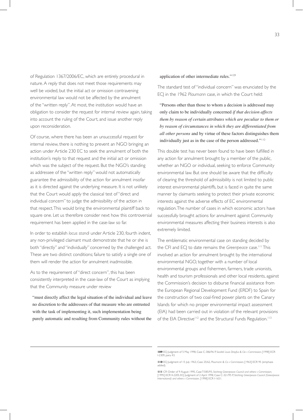of Regulation 1367/2006/EC, which are entirely procedural in nature. A reply that does not meet those requirements may well be voided, but the initial act or omission contravening environmental law would not be affected by the annulment of the "written reply". At most, the institution would have an obligation to consider the request for internal review again, taking into account the ruling of the Court, and issue another reply upon reconsideration.

Of course, where there has been an unsuccessful request for internal review, there is nothing to prevent an NGO bringing an action under Article 230 EC to seek the annulment of both the institution's reply to that request and the initial act or omission which was the subject of the request. But the NGO's standing as addressee of the "written reply" would not automatically guarantee the admissibility of the action for annulment insofar as it is directed against the underlying measure. It is not unlikely that the Court would apply the classical test of "direct and individual concern" to judge the admissibility of the action in that respect. This would bring the environmental plaintiff back to square one. Let us therefore consider next how this controversial requirement has been applied in the case-law so far.

In order to establish *locus standi* under Article 230, fourth indent, any non-privileged claimant must demonstrate that he or she is both "directly" and "individually" concerned by the challenged act. These are two distinct conditions; failure to satisfy a single one of them will render the action for annulment inadmissible.

As to the requirement of "direct concern", this has been consistently interpreted in the case-law of the Court as implying that the Community measure under review

 "must directly affect the legal situation of the individual and leave no discretion to the addressees of that measure who are entrusted with the task of implementing it, such implementation being purely automatic and resulting from Community rules without the

application of other intermediate rules."<sup>109</sup>

The standard test of "individual concern" was enunciated by the ECJ in the 1962 *Plaumann* case, in which the Court held:

 "Persons other than those to whom a decision is addressed may only claim to be individually concerned *if that decision affects them by reason of certain attributes which are peculiar to them or by reason of circumstances in which they are differentiated from all other persons* and by virtue of these factors distinguishes them individually just as in the case of the person addressed."<sup>110</sup>

This double test has never been found to have been fulfilled in any action for annulment brought by a member of the public, whether an NGO or individual, seeking to enforce Community environmental law. But one should be aware that the difficulty of clearing the threshold of admissibility is not limited to public interest environmental plaintiffs, but is faced in quite the same manner by claimants seeking to protect their private economic interests against the adverse effects of EC environmental regulation. The number of cases in which economic actors have successfully brought actions for annulment against Community environmental measures affecting their business interests is also extremely limited.

The emblematic environmental case on standing decided by the CFI and ECJ to date remains the *Greenpeace* case.<sup>111</sup> This involved an action for annulment brought by the international environmental NGO, together with a number of local environmental groups and fishermen, farmers, trade unionists, health and tourism professionals and other local residents, against the Commission's decision to disburse financial assistance from the European Regional Development Fund (ERDF) to Spain for the construction of two coal-fired power plants on the Canary Islands for which no proper environmental impact assessment (EIA) had been carried out in violation of the relevant provisions of the EIA Directive<sup>112</sup> and the Structural Funds Regulation.<sup>113</sup>

**<sup>109</sup>** ECJ Judgment of 5 May 1998, Case C-386/96 P, *Société Louis Dreyfus & Cie v Commission*, [1998] ECR I-2309, para. 43.

**<sup>110</sup>** ECJ Judgment of 15 July 1963, Case 25/62, *Plaumann & Co v Commission*, [1963] ECR 95 (emphasis added).

**III** CFI Order of 9 August 1995, CaseT-585/93, Stichting Greenpeace Council and others v Commission,<br>[1995] ECR II-2205; ECJ Judgment of 2 April 1998, Case C-321/95 P, Stichting Greenpeace Council (Greenpeace<br>Internationa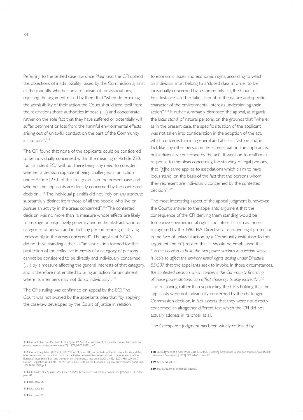34

Referring to the settled case-law since *Plaumann*, the CFI upheld the objections of inadmissibility raised by the Commission against all the plaintiffs, whether private individuals or associations, rejecting the argument raised by them that "when determining the admissibility of their action the Court should free itself from the restrictions those authorities impose (…) and concentrate rather on the sole fact that they have suffered or potentially will suffer detriment or loss from the harmful environmental effects arising out of unlawful conduct on the part of the Community institutions".<sup>114</sup>

The CFI found that none of the applicants could be considered to be individually concerned within the meaning of Article 230, fourth indent EC, "without there being any need to consider whether a decision capable of being challenged in an action under Article [230] of the Treaty exists in the present case and whether the applicants are directly concerned by the contested decision".115 The individual plaintiffs did not "rely on any attribute substantially distinct from those of all the people who live or pursue an activity in the areas concerned".116 The contested decision was no more than "a measure whose effects are likely to impinge on, objectively, generally and in the abstract, various categories of person and in fact any person residing or staying temporarily in the areas concerned". The applicant NGOs did not have standing either, as "an association formed for the protection of the collective interests of a category of persons cannot be considered to be directly and individually concerned (…) by a measure affecting the general interests of that category, and is therefore not entitled to bring an action for annulment where its members may not do so individually".<sup>117</sup>

The CFI's ruling was confirmed on appeal by the ECJ. The Court was not swayed by the appellants' plea that, "by applying the case-law developed by the Court of Justice in relation

to economic issues and economic rights, according to which an individual must belong to a 'closed class' in order to be individually concerned by a Community act, the Court of First Instance failed to take account of the nature and specific character of the environmental interests underpinning their action".<sup>118</sup> It rather summarily dismissed the appeal, as regards the *locus standi* of natural persons, on the grounds that, "where, as in the present case, the specific situation of the applicant was not taken into consideration in the adoption of the act, which concerns him in a general and abstract fashion and, in fact, like any other person in the same situation, the applicant is not individually concerned by the act". It went on to reaffirm, in response to the pleas concerning the standing of legal persons, that "[t]he same applies to associations which claim to have locus standi on the basis of the fact that the persons whom they represent are individually concerned by the contested decision".<sup>119</sup>

The most interesting aspect of the appeal judgment is, however, the Court's answer to the appellants' argument that the consequence of the CFI denying them standing would be to deprive environmental rights and interests such as those recognised by the 1985 EIA Directive of effective legal protection in the face of unlawful action by a Community institution. To this argument, the ECJ replied that "it should be emphasised that *it is the decision to build the two power stations in question which is liable to affect the environmental rights arising under Directive 85/337* that the appellants seek to invoke. In those circumstances, *the contested decision, which concerns the Community financing of those power stations, can affect those rights only indirectly"*. 120 This reasoning, rather than supporting the CFI's holding that the applicants were not individually concerned by the challenged Commission decision, in fact asserts that they were not directly concerned, an altogether different test which the CFI did not actually address in its order at all.

The *Greenpeace* judgment has been widely criticised by

**115** *Ibid*., para. 65.

**116** *Ibid*., para. 54.

**117** *Ibid*., para. 59.

**119** *Ibid*., paras. 28-29.

**120** *Ibid*., paras. 30-31 (emphasis added).

**<sup>112</sup>** Council Directive 85/337/EEC of 27 June 1985 on the assessment of the effects of certain public and private projects on the environment, OJ L 175, 05.07.1985, p. 40.

**<sup>113</sup>** Council Regulation (EEC) No 2052/88 of 24 June 1988 on the tasks of the Structural Funds and their effectiveness and on coordination of their activities between themselves and with the operations of the<br>European Investment Bank and the other existing financial instruments, OJ L 185, 15.07.1988, p. 9, art. 7;<br>Council Reg

**<sup>114</sup>** CFI Order of 9 August 1995, Case T-585/93, *Greenpeace and others v Commission* [1995] ECR II-2205, para. 49.

**<sup>118</sup>** ECJ Judgment of 2 April 1998, Case C-321/95 P, *Stichting Greenpeace Council (Greenpeace International) and others v Commission*, [1998] ECR I-1651, para. 17.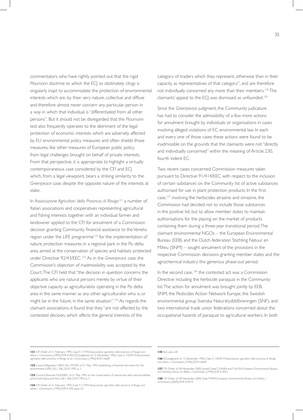commentators who have rightly pointed out that the rigid *Plaumann* doctrine to which the ECJ so obstinately clings is singularly inapt to accommodate the protection of environmental interests which are, by their very nature, collective and diffuse and therefore almost never concern any particular person in a way in which that individual is "differentiated from all other persons". But it should not be disregarded that the *Plaumann* test also frequently operates to the detriment of the legal protection of economic interests which are adversely affected by EU environmental policy measures and often shields those measures, like other measures of European public policy, from legal challenges brought on behalf of private interests. From that perspective, it is appropriate to highlight a virtually contemporaneous case considered by the CFI and ECJ which, from a legal viewpoint, bears a striking similarity to the *Greenpeace* case, despite the opposite nature of the interests at stake.

In *Associazione Agricoltori della Provincia di Rovigo*121 a number of Italian associations and cooperatives representing agricultural and fishing interests together with an individual farmer and landowner applied to the CFI for annulment of a Commission decision granting Community financial assistance to the Veneto region under the LIFE programme<sup>122</sup> for the implementation of nature protection measures in a regional park in the Po delta area aimed at the conservation of species and habitats protected under Directive 92/43/EEC.123 As in the *Greenpeace* case, the Commission's objection of inadmissibility was accepted by the Court. The CFI held that "the decision in question concerns the applicants who are natural persons merely by virtue of their objective capacity as agriculturalists operating in the Po delta area in the same manner as any other agriculturalist who is, or might be in the future, in the same situation".<sup>124</sup> As regards the claimant associations, it found that they "are not affected by the contested decision, which affects the general interests of the

category of traders which they represent, otherwise than in their capacity as representatives of that category", and are therefore not individually concerned any more than their members.<sup>125</sup> The claimants' appeal to the ECJ was dismissed as unfounded.<sup>126</sup>

Since the *Greenpeace* judgment, the Community judicature has had to consider the admissibility of a few more actions for annulment brought by individuals or organisations in cases involving alleged violations of EC environmental law. In each and every one of those cases these actions were found to be inadmissible on the grounds that the claimants were not "directly and individually concerned" within the meaning of Article 230, fourth indent EC.

Two recent cases concerned Commission measures taken pursuant to Directive 91/414/EEC with respect to the inclusion of certain substances on the Community list of active substances authorised for use in plant protection products. In the first case,<sup>127</sup> involving the herbicides atrazine and simazine, the Commission had decided not to include those substances in the positive list, but to allow member states to maintain authorisations for the placing on the market of products containing them during a three-year transitional period. The claimant environmental NGOs – the European Environmental Bureau (EEB) and the Dutch federation Stichting Natuur en Milieu (SNM) – sought annulment of the provisions in the respective Commission decisions granting member states and the agrochemical industry this generous phase-out period.

In the second case,<sup>128</sup> the contested act was a Commission Directive including the herbicide paraquat in the Community list. The action for annulment was brought jointly by EEB, SNM, the Pesticides Action Network Europe, the Swedish environmental group Svenska Naturskyddsföreningen (SNF), and two international trade union federations concerned about the occupational hazards of paraquat to agricultural workers. In both

#### **125** *Ibid*., para. 28.

**<sup>121</sup>** CFI Order of 21 February 1995, Case T-117/94, Associazione agricoltori della provincia di Rovigo and<br>others v Commission, [1995] ECR II-455; ECJ Judgment of 12 December 1996, Case C-142/95 P, Associazione<br>agricoltori

**<sup>122</sup>** Council Regulation (EEC) No 1973/92 of 21 May 1992 establishing a financial instrument for the environment (LIFE), OJ L 206, 22.07.1992, p. 1.

**<sup>123</sup>** Council Directive 92/43/EEC of 21 May 1992 on the conservation of natural and semi-natural habitats and of wild fauna and flora, OJ L 206, 22.07.1992, p. 7.

**<sup>124</sup>** CFI Order of 21 February 1995, Case T-117/94, *Associazione agricoltori della provincia di Rovigo and others v Commission*, [1995] ECR II-455, para. 25.

**<sup>126</sup>** ECJ Judgment of 12 December 1996, Case C-142/95 P, *Associazione agricoltori della provincia di Rovigo and others v Commission*, [1996] ECR I-6669.

**<sup>127</sup>** CFI Order of 28 November 2005, Joined Cases T-236/04 and T-241/04, *European Environmental Bureau and Stichting Natuur en Milieu v Commission*. [1995] ECR II-3051.

**<sup>128</sup>** CFI Order of 28 November 2005, Case T-94/04, *European Environmental Bureau and others v Commission*, [2005] ECR II-4919.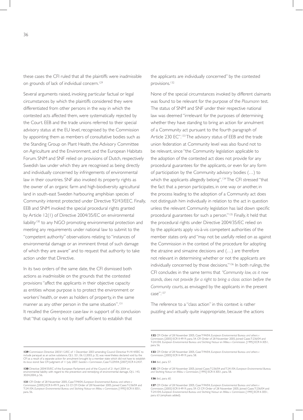these cases the CFI ruled that all the plaintiffs were inadmissible on grounds of lack of individual concern.<sup>129</sup>

Several arguments raised, invoking particular factual or legal circumstances by which the plaintiffs considered they were differentiated from other persons in the way in which the contested acts affected them, were systematically rejected by the Court. EEB and the trade unions referred to their special advisory status at the EU level, recognised by the Commission by appointing them as members of consultative bodies such as the Standing Group on Plant Health, the Advisory Committee on Agriculture and the Environment, and the European Habitats Forum. SNM and SNF relied on provisions of Dutch, respectively Swedish law under which they are recognised as being directly and individually concerned by infringements of environmental law in their countries. SNF also invoked its property rights as the owner of an organic farm and high-biodiversity agricultural land in south-east Sweden harbouring amphibian species of Community interest protected under Directive 92/43/EEC. Finally, EEB and SNM invoked the special procedural rights granted by Article 12(1) of Directive 2004/35/EC on environmental liability<sup>130</sup> to any NGO promoting environmental protection and meeting any requirements under national law to submit to the "competent authority" observations relating to "instances of environmental damage or an imminent threat of such damage of which they are aware" and to request that authority to take action under that Directive.

In its two orders of the same date, the CFI dismissed both actions as inadmissible on the grounds that the contested provisions "affect the applicants in their objective capacity as entities whose purpose is to protect the environment or workers' health, or even as holders of property, in the same manner as any other person in the same situation".<sup>131</sup> It recalled the *Greenpeace* case-law in support of its conclusion that"that capacity is not by itself sufficient to establish that

**129** Commission Directive 2003/112/EC of 1 December 2003 amending Council Directive 91/414/EEC to include paraquat as an active substance, OJ L 321, 06.12.2003, p. 32, was nevertheless declared void by the CFI as a result of a separate action for annulment brought by a member state which did not have to establish its *locus standi*. See CFI Judgment of 11 July 2007, *Sweden v Commission*, Case T-229/04, [2007] ECR II-2437.

**130** Directive 2004/35/EC of the European Parliament and of the Council of 21 April 2004 on<br>environmental liability with regard to the prevention and remedying of environmental damage, OI L 143, ental liability with regard to the prevention and remedying of environmental damage. 30.04.2004, p. 56.

**131** CFI Order of 28 November 2005, Case T-94/04, *European Environmental Bureau and others v Commission*, [2005] ECR II-4919, para. 53. Cf. CFI Order of 28 November 2005, Joined Cases T-236/04 and T-241/04, *European Environmental Bureau and Stichting Natuur en Milieu v Commission*, [1995] ECR II-3051, para. 56

the applicants are individually concerned" by the contested provisions.<sup>132</sup>

None of the special circumstances invoked by different claimants was found to be relevant for the purpose of the *Plaumann* test. The status of SNM and SNF under their respective national law was deemed "irrelevant for the purposes of determining whether they have standing to bring an action for annulment of a Community act pursuant to the fourth paragraph of Article 230 EC".<sup>133</sup> The advisory status of EEB and the trade union federation at Community level was also found not to be relevant, since "the Community legislation applicable to the adoption of the contested act does not provide for any procedural guarantees for the applicants, or even for any form of participation by the Community advisory bodies (…) to which the applicants allegedly belong".<sup>134</sup> The CFI stressed "that the fact that a person participates, in one way or another, in the process leading to the adoption of a Community act does not distinguish him individually in relation to the act in question unless the relevant Community legislation has laid down specific procedural guarantees for such a person."135 Finally, it held that the procedural rights under Directive 2004/35/EC relied on by the applicants apply vis-à-vis competent authorities of the member states only and "may not be usefully relied on as against the Commission in the context of the procedure for adopting the atrazine and simazine decisions and (…) are therefore not relevant in determining whether or not the applicants are individually concerned by those decisions."136 In both rulings, the CFI concludes in the same terms that *"Community law, as it now stands, does not provide for a right to bring a class action before the Community courts*, as envisaged by the applicants in the present case".<sup>137</sup>

The reference to a "class action" in this context is rather puzzling and actually quite inappropriate, because the actions

**134** *Ibid*., para. 57.

**136** *Ibid*., para. 60.

**<sup>132</sup>** CFI Order of 28 November 2005, Case T-94/04, *European Environmental Bureau and others v Commission*, [2005] ECR II-4919, para. 54. CFI Order of 28 November 2005, Joined Cases T-236/04 and T-241/04, *European Environmental Bureau and Stichting Natuur en Milieu v Commission,* [1995] ECR II-3051, para. 56.

**<sup>133</sup>** CFI Order of 28 November 2005, Case T-94/04, *European Environmental Bureau and others v Commission*, [2005] ECR II-4919, para. 58.

**<sup>135</sup>** CFI Order of 28 November 2005, Joined Cases T-236/04 and T-241/04, *European Environmental Bureau and Stichting Natuur en Milieu v Commission*, [1995] ECR II-3051, para. 58.

<sup>137</sup> CFI Order of 28 November 2005, Case T-94/04, *European Environmental Bureau and others* v *Commission*, [2005] ECR II-4919, para. 59. Cf. CFI Order of 28 November 2005, Joined Cases T-236/04 and T-241/04, *European Environmental Bureau and Stichting Natuur en Milieu v Commission*, [1995] ECR II-3051, para. 63 (emphasis added).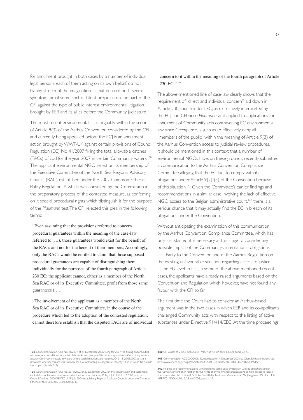for annulment brought in both cases by a number of individual legal persons, each of them acting on its own behalf, do not by any stretch of the imagination fit that description. It seems symptomatic of some sort of latent prejudice on the part of the CFI against the type of public interest environmental litigation brought by EEB and its allies before the Community judicature.

The most recent environmental case arguably within the scope of Article 9(3) of the Aarhus Convention considered by the CFI and currently being appealed before the ECJ is an annulment action brought by WWF-UK against certain provisions of Council Regulation (EC) No 41/2007 fixing the total allowable catches (TACs) of cod for the year 2007 in certain Community waters.<sup>138</sup> The applicant environmental NGO relied on its membership of the Executive Committee of the North Sea Regional Advisory Council (RAC) established under the 2002 Common Fisheries Policy Regulation,<sup>139</sup> which was consulted by the Commission in the preparatory process of the contested measure, as conferring on it special procedural rights which distinguish it for the purpose of the *Plaumann* test. The CFI rejected this plea in the following terms:

 "Even assuming that the provisions referred to concern procedural guarantees within the meaning of the case-law referred to (…), those guarantees would exist for the benefit of the RACs and not for the benefit of their members. Accordingly, only the RACs would be entitled to claim that those supposed procedural guarantees are capable of distinguishing them individually for the purposes of the fourth paragraph of Article 230 EC; the applicant cannot, either as a member of the North Sea RAC or of its Executive Committee, profit from those same guarantees (…).

 "The involvement of the applicant as a member of the North Sea RAC or of its Executive Committee, in the course of the procedure which led to the adoption of the contested regulation, cannot therefore establish that the disputed TACs are of individual

#### concern to it within the meaning of the fourth paragraph of Article 230 EC."<sup>140</sup>

The above-mentioned line of case-law clearly shows that the requirement of "direct and individual concern" laid down in Article 230, fourth indent EC, as restrictively interpreted by the ECJ and CFI since *Plaumann*, and applied to applications for annulment of Community acts contravening EC environmental law since *Greenpeace*, is such as to effectively deny all "members of the public" within the meaning of Article 9(3) of the Aarhus Convention access to judicial review procedures. It should be mentioned in this context that a number of environmental NGOs have, on these grounds, recently submitted a communication to the Aarhus Convention Compliance Committee alleging that the EC fails to comply with its obligations under Article 9(2)-(5) of the Convention because of this situation.<sup>141</sup> Given the Committee's earlier findings and recommendations in a similar case involving the lack of effective NGO access to the Belgian administrative court, $142$  there is a serious chance that it may actually find the EC in breach of its obligations under the Convention.

Without anticipating the examination of this communication by the Aarhus Convention Compliance Committee, which has only just started, it is necessary at this stage to consider any possible impact of the Community's international obligations as a Party to the Convention and of the Aarhus Regulation on the existing unfavourable situation regarding access to justice at the EU level. In fact, in some of the above-mentioned recent cases, the applicants have already raised arguments based on the Convention and Regulation which, however, have not found any favour with the CFI so far.

The first time the Court had to consider an Aarhus-based argument was in the two cases in which EEB and its co-applicants challenged Community acts with respect to the listing of active substances under Directive 91/414/EEC. At the time proceedings

**<sup>138</sup>** Council Regulation (EC) No 41/2007 of 21 December 2006 fixing for 2007 the fishing opportunities<br>and associated conditions for certain fish stocks and groups of fish stocks, applicable in Community waters<br>and, for Co debatable whether this act was taken by the Council "acting in a legislative capacity"; if so, it would fall outside the scope of Article 9(3).

**<sup>139</sup>** Council Regulation (EC) No 2371/2002 of 20 December 2002 on the conservation and sustainable<br>exploitation of fisheries resources under the Common Fisheries Policy, OJ L 358, 3.1.12.2002, p. 59, art. 31;<br>Council Decis Fisheries Policy, OJ L 256, 03.08.2004, p. 17.

**<sup>140</sup>** CFI Order of 2 June 2008, Case T-91/07, *WWF-UK Ltd v Council,* paras. 72-73.

**<sup>141</sup>** Communication ACCC/C/2008/32, submitted on 1 December 2008 by ClientEarth and others, see http://www.unece.org/env/pp/compliance/C2008-32/DatasheetC-2008-32v2009.01.19.doc

**<sup>142</sup>** Findings and recommendations with regard to compliance by Belgium with its obligations under the Aarhus Convention in relation to the rights of environmental organizations to have access to justice (Communication ACCC/C/2005/11 by Bond Beter Leefmilieu Vlaanderen VZW (Belgium), UN Doc. ECE/ MP.PP/C.1/2006/4/Add.2, 28 July 2006, supra n. 17.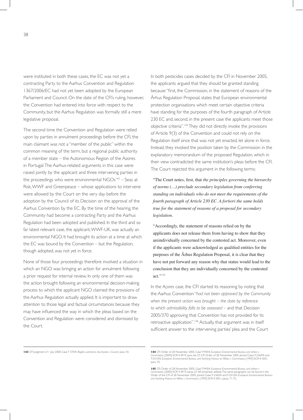were instituted in both these cases, the EC was not yet a contracting Party to the Aarhus Convention and Regulation 1367/2006/EC had not yet been adopted by the European Parliament and Council. On the date of the CFI's ruling, however, the Convention had entered into force with respect to the Community, but the Aarhus Regulation was formally still a mere legislative proposal.

The second time the Convention and Regulation were relied upon by parties in annulment proceedings before the CFI, the main claimant was not a "member of the public" within the common meaning of the term, but a regional public authority of a member state – the Autonomous Region of the Azores in Portugal. The Aarhus-related arguments in this case were raised jointly by the applicant and three intervening parties in the proceedings who were environmental  $NGOs<sup>143</sup> - Seas at$ Risk, WWF and Greenpeace – whose applications to intervene were allowed by the Court on the very day before the adoption by the Council of its Decision on the approval of the Aarhus Convention by the EC. By the time of the hearing, the Community had become a contracting Party and the Aarhus Regulation had been adopted and published. In the third and so far latest relevant case, the applicant, WWF-UK, was actually an environmental NGO. It had brought its action at a time at which the EC was bound by the Convention – but the Regulation, though adopted, was not yet in force.

None of those four proceedings therefore involved a situation in which an NGO was bringing an action for annulment following a prior request for internal review. In only one of them was the action brought following an environmental decision-making process to which the applicant NGO claimed the provisions of the Aarhus Regulation actually applied. It is important to draw attention to those legal and factual circumstances because they may have influenced the way in which the pleas based on the Convention and Regulation were considered and dismissed by the Court.

In both pesticides cases decided by the CFI in November 2005, the applicants argued that they should be granted standing because "first, the Commission, in the statement of reasons of the Århus Regulation Proposal, states that European environmental protection organisations which meet certain objective criteria have standing for the purposes of the fourth paragraph of Article 230 EC and, second, in the present case the applicants meet those objective criteria".144 They did not directly invoke the provisions of Article 9(3) of the Convention and could not rely on the Regulation itself since that was not yet enacted, let alone in force. Instead, they invoked the position taken by the Commission in the explanatory memorandum of the proposed Regulation, which in their view contradicted the same institution's pleas before the CFI. The Court rejected this argument in the following terms:

 "The Court notes, first, that *the principles governing the hierarchy of norms (…) preclude secondary legislation from conferring standing on individuals who do not meet the requirements of the fourth paragraph of Article 230 EC. A fortiori the same holds true for the statement of reasons of a proposal for secondary legislation.*

 "Accordingly, the statement of reasons relied on by the applicants does not release them from having to show that they areindividually concerned by the contested act. Moreover, even if the applicants were acknowledged as qualified entities for the purposes of the Århus Regulation Proposal, it is clear that they have not put forward any reason why that status would lead to the conclusion that they are individually concerned by the contested act." $145$ 

In the *Açores* case, the CFI started its reasoning by noting that the Aarhus Convention "*had not been approved by the Community when the present action was brought – the date by reference to which admissibility falls to be assessed* – and that Decision 2005/370 approving that Convention has not provided for its retroactive application".<sup>146</sup> Actually, that argument was in itself sufficient answer to the intervening parties' plea and the Court

**<sup>143</sup>** CFI Judgment of 1 July 2008, Case T 37/04, *Região autónoma dos Açores v Council,* para. 43. **144** CFI Order of 28 November 2005, Case T-94/04, *European Environmental Bureau and others v Commission*, [2005] ECR II-4919, para. 66. Cf. CFI Order of 28 November 2005, Joined Cases T-236/04 and T-241/04, *European Environmental Bureau and Stichting Natuur en Milieu v Commission*, [1995] ECR II-3051, para. 70.

**<sup>145</sup>** CFI Order of 28 November 2005, Case T-94/04, *European Environmental Bureau and others v Commission*, [2005] ECR II-4919, paras. 67-68 (emphasis added). The same paragraphs can be found in the Order of the CFI of 28 November 2005, Joined Cases T-236/04 and T-241/04, *European Environmental Bureau and Stichting Natuur en Milieu v Commission,* [1995] ECR II-3051, paras. 71-72.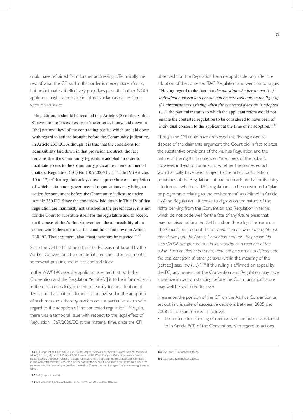could have refrained from further addressing it. Technically, the rest of what the CFI said in that order is merely *obiter dictum*, but unfortunately it effectively prejudges pleas that other NGO applicants might later make in future similar cases. The Court went on to state:

 "In addition, it should be recalled that Article 9(3) of the Aarhus Convention refers expressly to 'the criteria, if any, laid down in [the] national law' of the contracting parties which are laid down, with regard to actions brought before the Community judicature, in Article 230 EC. Although it is true that the conditions for admissibility laid down in that provision are strict, the fact remains that the Community legislature adopted, in order to facilitate access to the Community judicature in environmental matters, Regulation (EC) No 1367/2006 (…). "Title IV (Articles 10 to 12) of that regulation lays down a procedure on completion of which certain non-governmental organisations may bring an action for annulment before the Community judicature under Article 230 EC. Since the conditions laid down in Title IV of that regulation are manifestly not satisfied in the present case, it is not for the Court to substitute itself for the legislature and to accept, on the basis of the Aarhus Convention, the admissibility of an action which does not meet the conditions laid down in Article 230 EC. That argument, also, must therefore be rejected."<sup>147</sup>

Since the CFI had first held that the EC was not bound by the Aarhus Convention at the material time, the latter argument is somewhat puzzling and in fact contradictory.

In the *WWF-UK* case, the applicant asserted that both the Convention and the Regulation "entitle[d] it to be informed early in the decision-making procedure leading to the adoption of TACs and that that entitlement to be involved in the adoption of such measures thereby confers on it a particular status with regard to the adoption of the contested regulation".<sup>148</sup> Again, there was a temporal issue with respect to the legal effect of Regulation 1367/2006/EC at the material time, since the CFI

observed that the Regulation became applicable only after the adoption of the contested TAC Regulation and went on to argue: "Having regard to the fact that *the question whether an act is of individual concern to a person can be assessed only in the light of the circumstances existing when the contested measure is adopted* (…), the particular status to which the applicant refers would not enable the contested regulation to be considered to have been of individual concern to the applicant at the time of its adoption."<sup>149</sup>

Though the CFI could have employed this finding alone to dispose of the claimant's argument, the Court did in fact address the substantive provisions of the Aarhus Regulation and the nature of the rights it confers on "members of the public". However, instead of considering whether the contested act would actually have been subject to the public participation provisions of the Regulation if it had been adopted after its entry into force – whether a TAC regulation can be considered a "plan or programme relating to the environment" as defined in Article 2 of the Regulation – it chose to digress on the nature of the rights deriving from the Convention and Regulation in terms which do not bode well for the fate of any future pleas that may be raised before the CFI based on those legal instruments. The Court "pointed out that *any entitlements which the applicant may derive from the Aarhus Convention and from Regulation No 1367/2006 are granted to it in its capacity as a member of the public. Such entitlements cannot therefore be such as to differentiate the applicant from all other persons* within the meaning of the [settled] case law (...)".<sup>150</sup> If this ruling is affirmed on appeal by the ECJ, any hopes that the Convention and Regulation may have a positive impact on standing before the Community judicature may well be shattered for ever.

In essence, the position of the CFI on the Aarhus Convention as set out in this suite of successive decisions between 2005 and 2008 can be summarised as follows:

The criteria for standing of members of the public as referred to in Article 9(3) of the Convention, with regard to actions

146 CFI Judgment of 1 July 2008, Case T 37/04, Região autónoma dos Açores v Council, para. 93 (emphasis added). Cf. CFI Judgment of 25 April 2007, Case T-264/04, WWF European Policy Programme v Council, para. 93 (emphasis force".

**149** *Ibid*., para. 83 (emphasis added).

**147** *Ibid*. (emphasis added).

**148** CFI Order of 2 June 2008, Case T-91/07, *WWF-UK Ltd v Council,* para. 80.

**<sup>150</sup>** *Ibid*., para. 82 (emphasis added).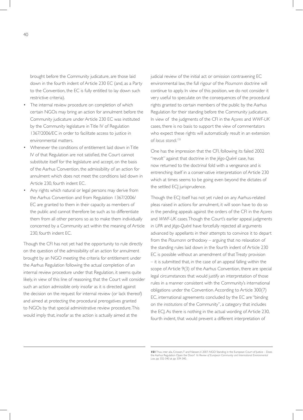brought before the Community judicature, are those laid down in the fourth indent of Article 230 EC (and, as a Party to the Convention, the EC is fully entitled to lay down such restrictive criteria).

- The internal review procedure on completion of which certain NGOs may bring an action for annulment before the Community judicature under Article 230 EC was instituted by the Community legislature in Title IV of Regulation 1367/2006/EC in order to facilitate access to justice in environmental matters.
- Whenever the conditions of entitlement laid down in Title IV of that Regulation are not satisfied, the Court cannot substitute itself for the legislature and accept, on the basis of the Aarhus Convention, the admissibility of an action for annulment which does not meet the conditions laid down in Article 230, fourth indent EC.
- Any rights which natural or legal persons may derive from the Aarhus Convention and from Regulation 1367/2006/ EC are granted to them in their capacity as members of the public and cannot therefore be such as to differentiate them from all other persons so as to make them individually concerned by a Community act within the meaning of Article 230, fourth indent EC.

Though the CFI has not yet had the opportunity to rule directly on the question of the admissibility of an action for annulment brought by an NGO meeting the criteria for entitlement under the Aarhus Regulation following the actual completion of an internal review procedure under that Regulation, it seems quite likely, in view of this line of reasoning, that the Court will consider such an action admissible only insofar as it is directed against the decision on the request for internal review (or lack thereof) and aimed at protecting the procedural prerogatives granted to NGOs by that special administrative review procedure. This would imply that, insofar as the action is actually aimed at the

judicial review of the initial act or omission contravening EC environmental law, the full rigour of the *Plaumann* doctrine will continue to apply. In view of this position, we do not consider it very useful to speculate on the consequences of the procedural rights granted to certain members of the public by the Aarhus Regulation for their standing before the Community judicature. In view of the judgments of the CFI in the *Açores* and *WWF-UK* cases, there is no basis to support the view of commentators who expect these rights will automatically result in an extension of *locus standi*. 151

One has the impression that the CFI, following its failed 2002 "revolt" against that doctrine in the *Jégo-Quéré* case, has now returned to the doctrinal fold with a vengeance and is entrenching itself in a conservative interpretation of Article 230 which at times seems to be going even beyond the dictates of the settled ECJ jurisprudence.

Though the ECJ itself has not yet ruled on any Aarhus-related pleas raised in actions for annulment, it will soon have to do so in the pending appeals against the orders of the CFI in the *Açores* and *WWF-UK* cases. Though the Court's earlier appeal judgments in *UPA* and *Jégo-Quéré* have forcefully rejected all arguments advanced by appellants in their attempts to convince it to depart from the *Plaumann* orthodoxy – arguing that no relaxation of the standing rules laid down in the fourth indent of Article 230 EC is possible without an amendment of that Treaty provision – it is submitted that, in the case of an appeal falling within the scope of Article 9(3) of the Aarhus Convention, there are special legal circumstances that would justify an interpretation of those rules in a manner consistent with the Community's international obligations under the Convention. According to Article 300(7) EC, international agreements concluded by the EC are "binding on *the institutions* of the Community", a category that includes the ECJ. As there is nothing in the actual wording of Article 230, fourth indent, that would prevent a different interpretation of

**<sup>151</sup>** Thus, inter alia, Crossen,T and Niessen,V. 2007. NGO Standing in the European Court of Justice – Does<br>the Aarhus Regulation Open the Door? 16 Review of European Community and International Environmental<br>Law, pp 332-3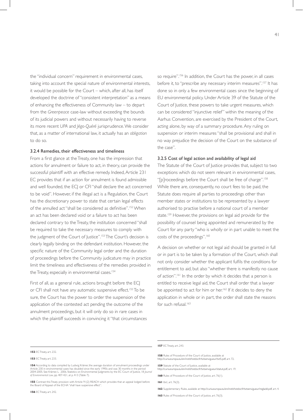the "individual concern" requirement in environmental cases, taking into account the special nature of environmental interests, it would be possible for the Court – which, after all, has itself developed the doctrine of "consistent interpretation" as a means of enhancing the effectiveness of Community law – to depart from the *Greenpeace* case-law without exceeding the bounds of its judicial powers and without necessarily having to reverse its more recent *UPA* and *Jégo-Quéré* jurisprudence. We consider that, as a matter of international law, it actually has an *obligation* to do so.

#### 3.2.4 Remedies, their effectiveness and timeliness

From a first glance at the Treaty, one has the impression that actions for annulment or failure to act, in theory, can provide the successful plaintiff with an effective remedy. Indeed, Article 231 EC provides that if an action for annulment is found admissible and well founded, the ECJ or CFI "shall declare the act concerned to be void". However, if the illegal act is a Regulation, the Court has the discretionary power to state that certain legal effects of the annulled act "shall be considered as definitive".<sup>152</sup> When an act has been declared void or a failure to act has been declared contrary to the Treaty, the institution concerned "shall be required to take the necessary measures to comply with the judgment of the Court of Justice".<sup>153</sup> The Court's decision is clearly legally binding on the defendant institution. However, the specific nature of the Community legal order and the duration of proceedings before the Community judicature may in practice limit the timeliness and effectiveness of the remedies provided in the Treaty, especially in environmental cases.<sup>154</sup>

First of all, as a general rule, actions brought before the ECJ or CFI shall not have any automatic suspensive effect.<sup>155</sup> To be sure, the Court has the power to order the suspension of the application of the contested act pending the outcome of the annulment proceedings, but it will only do so in rare cases in which the plaintiff succeeds in convincing it "that circumstances" so require".<sup>156</sup> In addition, the Court has the power, in all cases before it, to "prescribe any necessary interim measures".<sup>157</sup> It has done so in only a few environmental cases since the beginning of EU environmental policy. Under Article 39 of the Statute of the Court of Justice, these powers to take urgent measures, which can be considered "injunctive relief" within the meaning of the Aarhus Convention, are exercised by the President of the Court, acting alone, by way of a summary procedure. Any ruling on suspension or interim measures "shall be provisional and shall in no way prejudice the decision of the Court on the substance of the case".

#### 3.2.5 Cost of legal action and availability of legal aid

The Statute of the Court of Justice provides that, subject to two exceptions which do not seem relevant in environmental cases, "[p]roceedings before the Court shall be free of charge".<sup>158</sup> While there are, consequently, no court fees to be paid, the Statute does require all parties to proceedings other than member states or institutions to be represented by a lawyer authorised to practise before a national court of a member state.<sup>159</sup> However, the provisions on legal aid provide for the possibility of counsel being appointed and remunerated by the Court for any party "who is wholly or in part unable to meet the costs of the proceedings".<sup>160</sup>

A decision on whether or not legal aid should be granted in full or in part is to be taken by a formation of the Court, which shall not only consider whether the applicant fulfils the conditions for entitlement to aid, but also "whether there is manifestly no cause of action".<sup>161</sup> In the order by which it decides that a person is entitled to receive legal aid, the Court shall order that a lawyer be appointed to act for him or her.<sup>162</sup> If it decides to deny the application in whole or in part, the order shall state the reasons for such refusal.<sup>163</sup>

#### **157** EC Treaty, art. 243.

- **158** Rules of Procedure of the Court of Justice, available at http://curia.europa.eu/en/instit/txtdocfr/txtsenvigueur/txt5.pdf, art. 72.
- **159** Statute of the Court of Justice, available at
- http://curia.europa.eu/en/instit/txtdocfr/txtsenvigueur/statut.pdf, art. 19. **160** Rules of Procedure of the Court of Justice, art. 76(1).
- **161** *Ibid*., art. 76(3).
- **162** Supplementary Rules, available at http://curia.europa.eu/en/instit/txtdocfr/txtsenvigueur/regladd.pdf, art. 4.

**<sup>152</sup>** EC Treaty, art. 232.

**<sup>153</sup>** EC Treaty, art. 233.

**<sup>154</sup>** According to data compiled by Ludwig Krämer, the average duration of annulment proceedings under Article 230 in environmental cases has doubled since the early 1990s and was 30 months in the period 2004-2005. See Krämer, L. 2006. Statistics on Environmental Judgments by the EC Court of Justice, 18 *Journal of Environmental Law*, pp. 407-421, at p. 413 (Table 7).

**<sup>155</sup>** Contrast this Treaty provision with Article 91(2) REACH which provides that an appeal lodged before the Board of Appeal of the ECHA "shall have suspensive effect".

**<sup>163</sup>** Rules of Procedure of the Court of Justice, art. 76(3).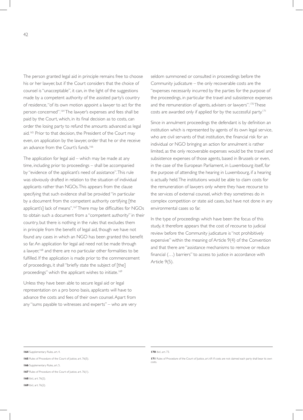The person granted legal aid in principle remains free to choose his or her lawyer, but if the Court considers that the choice of counsel is "unacceptable", it can, in the light of the suggestions made by a competent authority of the assisted party's country of residence, "of its own motion appoint a lawyer to act for the person concerned".<sup>164</sup> The lawyer's expenses and fees shall be paid by the Court, which, in its final decision as to costs, can order the losing party to refund the amounts advanced as legal aid.<sup>165</sup> Prior to that decision, the President of the Court may even, on application by the lawyer, order that he or she receive an advance from the Court's funds.<sup>166</sup>

The application for legal aid – which may be made at any time, including prior to proceedings – shall be accompanied by "evidence of the applicant's need of assistance". This rule was obviously drafted in relation to the situation of individual applicants rather than NGOs. This appears from the clause specifying that such evidence shall be provided "in particular by a document from the competent authority certifying [the applicant's] lack of means".<sup>167</sup>There may be difficulties for NGOs to obtain such a document from a "competent authority" in their country, but there is nothing in the rules that excludes them in principle from the benefit of legal aid, though we have not found any cases in which an NGO has been granted this benefit so far. An application for legal aid need not be made through a lawyer,<sup>168</sup> and there are no particular other formalities to be fulfilled. If the application is made prior to the commencement of proceedings, it shall"briefly state the subject of [the] proceedings" which the applicant wishes to initiate.<sup>169</sup>

Unless they have been able to secure legal aid or legal representation on a pro bono basis, applicants will have to advance the costs and fees of their own counsel. Apart from any "sums payable to witnesses and experts" – who are very seldom summoned or consulted in proceedings before the Community judicature – the only recoverable costs are the "expenses necessarily incurred by the parties for the purpose of the proceedings, in particular the travel and subsistence expenses and the remuneration of agents, advisers or lawyers".<sup>170</sup> These costs are awarded only if applied for by the successful party.<sup>171</sup>

Since in annulment proceedings the defendant is by definition an institution which is represented by agents of its own legal service, who are civil servants of that institution, the financial risk for an individual or NGO bringing an action for annulment is rather limited, as the only recoverable expenses would be the travel and subsistence expenses of those agents, based in Brussels or even, in the case of the European Parliament, in Luxembourg itself, for the purpose of attending the hearing in Luxembourg, if a hearing is actually held. The institutions would be able to claim costs for the remuneration of lawyers only where they have recourse to the services of external counsel, which they sometimes do in complex competition or state aid cases, but have not done in any environmental cases so far.

In the type of proceedings which have been the focus of this study, it therefore appears that the cost of recourse to judicial review before the Community judicature is "not prohibitively expensive" within the meaning of Article 9(4) of the Convention and that there are "assistance mechanisms to remove or reduce financial (...) barriers" to access to justice in accordance with Article 9(5).

**170** *Ibid.*, art. 73.

**171** Rules of Procedure of the Court of Justice, art. 69. If costs are not claimed each party shall bear its own costs.

**<sup>164</sup>** Supplementary Rules, art. 4.

**<sup>165</sup>** Rules of Procedure of the Court of Justice, art. 76(5).

**<sup>166</sup>** Supplementary Rules, art. 5.

**<sup>167</sup>** Rules of Procedure of the Court of Justice, art. 76(1).

**<sup>168</sup>** *Ibid*., art. 76(2).

**<sup>169</sup>** *Ibid*., art. 76(2).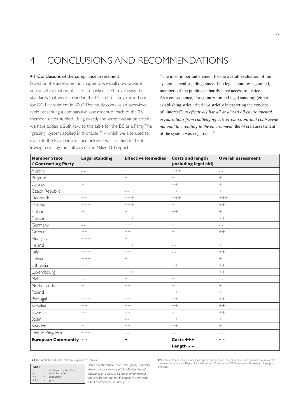# 4 CONCLUSIONS AND RECOMMENDATIONS

#### 4.1 Conclusions of the compliance assessment

Based on the assessment in chapter 3, we shall now provide an overall evaluation of access to justice at EC level using the standards that were applied in the Milieu Ltd study carried out for DG Environment in 2007. That study contains an overview table presenting a comparative assessment of each of the 25 member states studied. Using exactly the same evaluation criteria, we have added a 26th row to this table for the EC as a Party. The "grading" system applied in this table $172 -$  which we also used to evaluate the EC's performance below – was justified in the following terms by the authors of the Milieu Ltd report:

 "The most important element for the overall evaluation of the system is legal standing, since if no legal standing is granted, members of the public can hardly have access to justice. As a consequence, if a country limited legal standing (either establishing strict criteria or strictly interpreting the concept of "interest") to *effectively bar all or almost all environmental organisations from challenging acts or omissions that contravene national law relating to the environment,* the overall assessment of the system was negative."<sup>173</sup>

| <b>Member State</b><br>/ Contracting Party | <b>Legal standing</b> | <b>Effective Remedies</b>                                                                                                                                                                                                                                                                                                                                                                    | <b>Costs and length</b><br>(including legal aid) | <b>Overall assessment</b>                |
|--------------------------------------------|-----------------------|----------------------------------------------------------------------------------------------------------------------------------------------------------------------------------------------------------------------------------------------------------------------------------------------------------------------------------------------------------------------------------------------|--------------------------------------------------|------------------------------------------|
| Austria                                    | $ -$                  | $+$                                                                                                                                                                                                                                                                                                                                                                                          | $+++$                                            | $ -$                                     |
| Belgium                                    | $\sim$ $\sim$         | $+$                                                                                                                                                                                                                                                                                                                                                                                          | $+$                                              | $+$                                      |
| Cyprus                                     | $+$                   | $\frac{1}{2} \frac{1}{2} \frac{1}{2} \frac{1}{2} \frac{1}{2} \frac{1}{2} \frac{1}{2} \frac{1}{2} \frac{1}{2} \frac{1}{2} \frac{1}{2} \frac{1}{2} \frac{1}{2} \frac{1}{2} \frac{1}{2} \frac{1}{2} \frac{1}{2} \frac{1}{2} \frac{1}{2} \frac{1}{2} \frac{1}{2} \frac{1}{2} \frac{1}{2} \frac{1}{2} \frac{1}{2} \frac{1}{2} \frac{1}{2} \frac{1}{2} \frac{1}{2} \frac{1}{2} \frac{1}{2} \frac{$ | $++$                                             | $+$                                      |
| Czech Republic                             | $^{+}$                | $ -$                                                                                                                                                                                                                                                                                                                                                                                         | $++$                                             | $\boldsymbol{+}$                         |
| Denmark                                    | $++$                  | $+++$                                                                                                                                                                                                                                                                                                                                                                                        | $++++$                                           | $+++$                                    |
| Estonia                                    | $++++$                | $+++$                                                                                                                                                                                                                                                                                                                                                                                        | $\qquad \qquad +$                                | $++$                                     |
| Finland                                    | $\boldsymbol{+}$      | $\boldsymbol{+}$                                                                                                                                                                                                                                                                                                                                                                             | $++$                                             | $+$                                      |
| France                                     | $+++$                 | $+++$                                                                                                                                                                                                                                                                                                                                                                                        | $+$                                              | $++$                                     |
| Germany                                    | $=$ $=$               | $++$                                                                                                                                                                                                                                                                                                                                                                                         | $\boldsymbol{+}$                                 | $\frac{1}{2} \left( \frac{1}{2} \right)$ |
| Greece                                     | $++$                  | $++$                                                                                                                                                                                                                                                                                                                                                                                         | $^{+}$                                           | $++$                                     |
| Hungary                                    | $+++$                 | $\boldsymbol{+}$                                                                                                                                                                                                                                                                                                                                                                             | $ -$                                             | $\sim$ $\sim$                            |
| Ireland                                    | $+++$                 | $+++$                                                                                                                                                                                                                                                                                                                                                                                        | $=$ $=$                                          | $+$                                      |
| Italy                                      | $+++$                 | $++$                                                                                                                                                                                                                                                                                                                                                                                         | $ -$                                             | $++$                                     |
| Lativia                                    | $+++$                 |                                                                                                                                                                                                                                                                                                                                                                                              | $ -$                                             | $\,+\,$                                  |
| Lithuania                                  | $++$                  |                                                                                                                                                                                                                                                                                                                                                                                              | $++$                                             | $++$                                     |
| Luxembourg                                 | $++$                  | $++++$                                                                                                                                                                                                                                                                                                                                                                                       | $\boldsymbol{+}$                                 | $++$                                     |
| Malta                                      | $ -$                  | $+$                                                                                                                                                                                                                                                                                                                                                                                          | $+$                                              | $\sim$ $\sim$                            |
| Netherlands                                | $+$                   | $++$                                                                                                                                                                                                                                                                                                                                                                                         | $+$                                              | $+$                                      |
| Poland                                     | $+$                   | $++$                                                                                                                                                                                                                                                                                                                                                                                         | $++$                                             | $+$                                      |
| Portugal                                   | $++++$                | $++$                                                                                                                                                                                                                                                                                                                                                                                         | $++$                                             | $++$                                     |
| Slovakia                                   | $++$                  | $++$                                                                                                                                                                                                                                                                                                                                                                                         | $++$                                             | $++$                                     |
| Slovenia                                   | $++$                  | $++$                                                                                                                                                                                                                                                                                                                                                                                         | $+$                                              | $++$                                     |
| Spain                                      | $+++$                 | $ -$                                                                                                                                                                                                                                                                                                                                                                                         | $++$                                             | $\boldsymbol{+}$                         |
| Sweden                                     | $+$                   | $++$                                                                                                                                                                                                                                                                                                                                                                                         | $++$                                             | $+$                                      |
| United Kingdom                             | $+++$                 | $\frac{1}{2} \left( \frac{1}{2} \right)$                                                                                                                                                                                                                                                                                                                                                     | $\sim$ $\sim$                                    | $ -$                                     |
| <b>European Community - -</b>              |                       | ÷                                                                                                                                                                                                                                                                                                                                                                                            | Costs +++                                        | - -                                      |
|                                            |                       |                                                                                                                                                                                                                                                                                                                                                                                              | Length - -                                       |                                          |

| KEY:   |     |                           |
|--------|-----|---------------------------|
|        | $=$ | unsatisfactory (obstacle) |
| $^{+}$ | $=$ | could be better           |
|        | $=$ | satisfactory              |
|        | =   | good                      |

Table adapted from: Milieu Ltd (2007) *Summary Report on the inventory of EU Member States' measures on access to justice in environmental matters*, Report for the European Commission, DG Environment, Brussels, p. 18.

**172** The symbols used in this table are explained as follows: **173** Milieu Ltd (2007) *Summary Report on the inventory of EU Member States' measures on access to justice in*, Report for the European Commission, DG Environment, Brussels, p. 17 (original emphasis).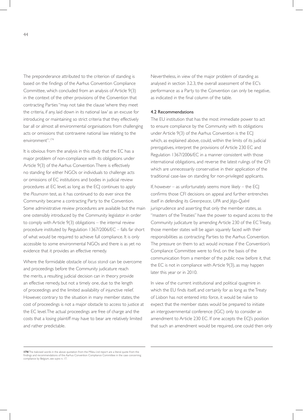The preponderance attributed to the criterion of standing is based on the findings of the Aarhus Convention Compliance Committee, which concluded from an analysis of Article 9(3) in the context of the other provisions of the Convention that contracting Parties "may not take the clause 'where they meet the criteria, if any, laid down in its national law' as an excuse for introducing or maintaining so strict criteria that they effectively bar all or almost all environmental organisations from challenging acts or omissions that contravene national law relating to the environment".174

It is obvious from the analysis in this study that the EC has a major problem of non-compliance with its obligations under Article 9(3) of the Aarhus Convention. There is effectively no standing for either NGOs or individuals to challenge acts or omissions of EC institutions and bodies in judicial review procedures at EC level, as long as the ECJ continues to apply the *Plaumann* test, as it has continued to do ever since the Community became a contracting Party to the Convention. Some administrative review procedures are available but the main one ostensibly introduced by the Community legislator in order to comply with Article 9(3) obligations – the internal review procedure instituted by Regulation 1367/2006/EC – falls far short of what would be required to achieve full compliance. It is only accessible to some environmental NGOs and there is as yet no evidence that it provides an effective remedy.

Where the formidable obstacle of *locus standi* can be overcome and proceedings before the Community judicature reach the merits, a resulting judicial decision can in theory provide an effective remedy, but not a timely one, due to the length of proceedings and the limited availability of injunctive relief. However, contrary to the situation in many member states, the cost of proceedings is not a major obstacle to access to justice at the EC level. The actual proceedings are free of charge and the costs that a losing plaintiff may have to bear are relatively limited and rather predictable.

Nevertheless, in view of the major problem of standing as analysed in section 3.2.3, the overall assessment of the EC's performance as a Party to the Convention can only be negative, as indicated in the final column of the table.

#### 4.2 Recommendations

The EU institution that has the most immediate power to act to ensure compliance by the Community with its obligations under Article 9(3) of the Aarhus Convention is the ECJ which, as explained above, could, within the limits of its judicial prerogatives, interpret the provisions of Article 230 EC and Regulation 1367/2006/EC in a manner consistent with those international obligations, and reverse the latest rulings of the CFI which are unnecessarily conservative in their application of the traditional case-law on standing for non-privileged applicants.

If, however – as unfortunately seems more likely – the ECJ confirms those CFI decisions on appeal and further entrenches itself in defending its *Greenpeace*, *UPA* and *Jégo-Quéré*  jurisprudence and asserting that only the member states, as "masters of the Treaties" have the power to expand access to the Community judicature by amending Article 230 of the EC Treaty, those member states will be again squarely faced with their responsibilities as contracting Parties to the Aarhus Convention. The pressure on them to act would increase if the Convention's Compliance Committee were to find, on the basis of the communication from a member of the public now before it, that the EC is not in compliance with Article 9(3), as may happen later this year or in 2010.

In view of the current institutional and political quagmire in which the EU finds itself, and certainly for as long as the Treaty of Lisbon has not entered into force, it would be naïve to expect that the member states would be prepared to initiate an intergovernmental conference (IGC) only to consider an amendment to Article 230 EC. If one accepts the ECI's position that such an amendment would be required, one could then only

**<sup>174</sup>** The italicised words in the above quotation from the Milieu Ltd report are a literal quote from the findings and recommendations of the Aarhus Convention Compliance Committee in the case concerning compliance by Belgium, see *supra* n. 17.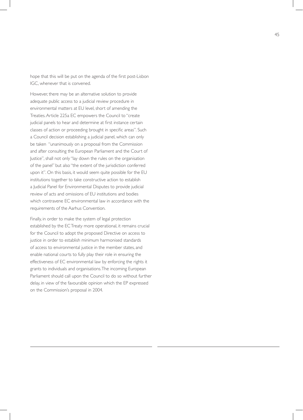hope that this will be put on the agenda of the first post-Lisbon IGC, whenever that is convened.

However, there may be an alternative solution to provide adequate public access to a judicial review procedure in environmental matters at EU level, short of amending the Treaties. Article 225a EC empowers the Council to "create judicial panels to hear and determine at first instance certain classes of action or proceeding brought in specific areas". Such a Council decision establishing a judicial panel, which can only be taken "unanimously on a proposal from the Commission and after consulting the European Parliament and the Court of Justice", shall not only "lay down the rules on the organisation of the panel" but also "the extent of the jurisdiction conferred upon it". On this basis, it would seem quite possible for the EU institutions together to take constructive action to establish a Judicial Panel for Environmental Disputes to provide judicial review of acts and omissions of EU institutions and bodies which contravene EC environmental law in accordance with the requirements of the Aarhus Convention.

Finally, in order to make the system of legal protection established by the EC Treaty more operational, it remains crucial for the Council to adopt the proposed Directive on access to justice in order to establish minimum harmonised standards of access to environmental justice in the member states, and enable national courts to fully play their role in ensuring the effectiveness of EC environmental law by enforcing the rights it grants to individuals and organisations. The incoming European Parliament should call upon the Council to do so without further delay, in view of the favourable opinion which the EP expressed on the Commission's proposal in 2004.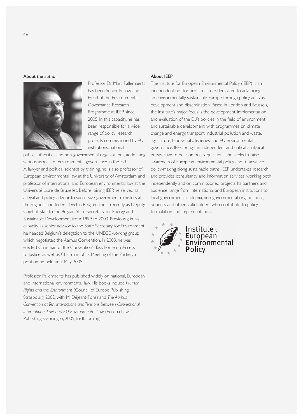#### About the author



 Professor Dr Marc Pallemaerts has been Senior Fellow and Head of the Environmental Governance Research Programme at IEEP since 2005. In this capacity, he has been responsible for a wide range of policy research projects commissioned by EU institutions, national

public authorities and non-governmental organisations, addressing various aspects of environmental governance in the EU. A lawyer and political scientist by training, he is also professor of European environmental law at the University of Amsterdam and professor of international and European environmental law at the Université Libre de Bruxelles. Before joining IEEP, he served as a legal and policy advisor to successive government ministers at the regional and federal level in Belgium, most recently as Deputy Chief of Staff to the Belgian State Secretary for Energy and Sustainable Development from 1999 to 2003. Previously, in his capacity as senior advisor to the State Secretary for Environment, he headed Belgium's delegation to the UNECE working group which negotiated the Aarhus Convention. In 2003, he was elected Chairman of the Convention's Task Force on Access to Justice, as well as Chairman of its Meeting of the Parties, a position he held until May 2005.

Professor Pallemaerts has published widely on national, European and international environmental law. His books include *Human Rights and the Environment* (Council of Europe Publishing, Strasbourg, 2002, with M. Déjeant-Pons) and *The Aarhus Convention at Ten: Interactions and Tensions between Conventional International Law and EU Environmental Law* (Europa Law Publishing, Groningen, 2009, forthcoming).

#### About IEEP

The Institute for European Environmental Policy (IEEP) is an independent not for profit institute dedicated to advancing an environmentally sustainable Europe through policy analysis, development and dissemination. Based in London and Brussels, the Institute's major focus is the development, implementation and evaluation of the EU's policies in the field of environment and sustainable development, with programmes on climate change and energy, transport, industrial pollution and waste, agriculture, biodiversity, fisheries, and EU environmental governance. IEEP brings an independent and critical analytical perspective to bear on policy questions and seeks to raise awareness of European environmental policy and to advance policy-making along sustainable paths. IEEP undertakes research and provides consultancy and information services, working both independently and on commissioned projects. Its partners and audience range from international and European institutions to local government, academia, non-governmental organisations, business and other stakeholders who contribute to policy formulation and implementation.